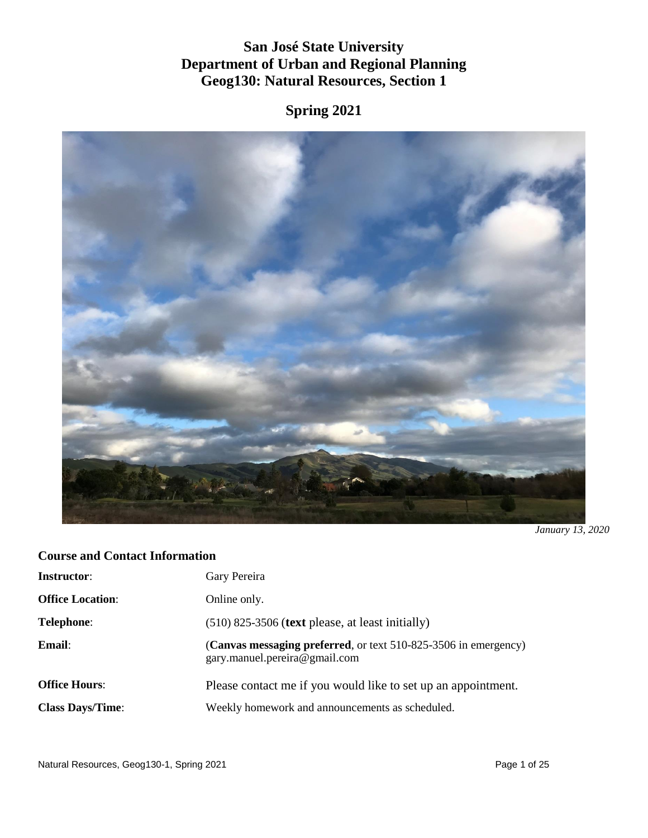# **San José State University Department of Urban and Regional Planning Geog130: Natural Resources, Section 1**

**Spring 2021**



*January 13, 2020*

# **Course and Contact Information**

| <b>Instructor:</b>      | Gary Pereira                                                                                     |
|-------------------------|--------------------------------------------------------------------------------------------------|
| <b>Office Location:</b> | Online only.                                                                                     |
| <b>Telephone:</b>       | $(510)$ 825-3506 (text please, at least initially)                                               |
| Email:                  | (Canvas messaging preferred, or text 510-825-3506 in emergency)<br>gary.manuel.pereira@gmail.com |
| <b>Office Hours:</b>    | Please contact me if you would like to set up an appointment.                                    |
| <b>Class Days/Time:</b> | Weekly homework and announcements as scheduled.                                                  |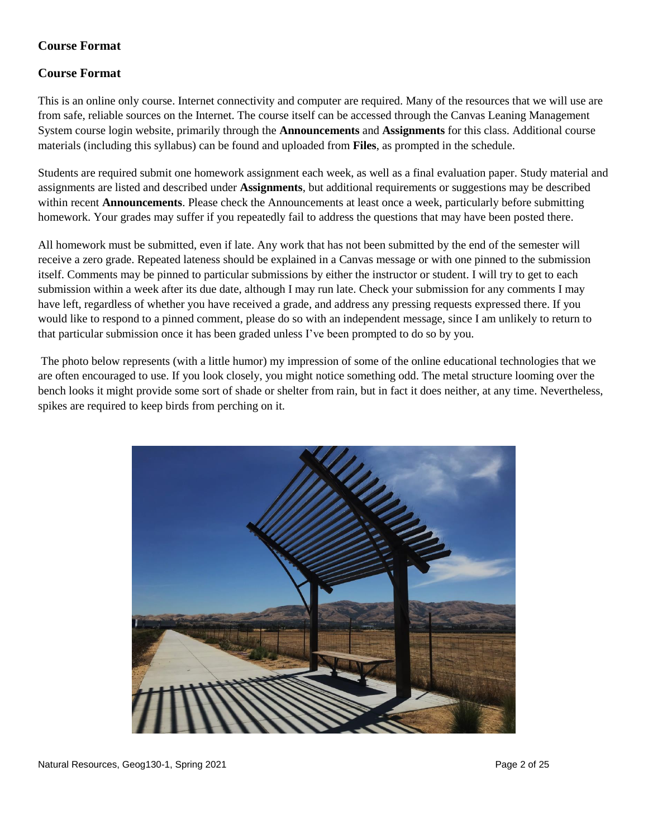# **Course Format**

#### **Course Format**

This is an online only course. Internet connectivity and computer are required. Many of the resources that we will use are from safe, reliable sources on the Internet. The course itself can be accessed through the Canvas Leaning Management System course login website, primarily through the **Announcements** and **Assignments** for this class. Additional course materials (including this syllabus) can be found and uploaded from **Files**, as prompted in the schedule.

Students are required submit one homework assignment each week, as well as a final evaluation paper. Study material and assignments are listed and described under **Assignments**, but additional requirements or suggestions may be described within recent **Announcements**. Please check the Announcements at least once a week, particularly before submitting homework. Your grades may suffer if you repeatedly fail to address the questions that may have been posted there.

All homework must be submitted, even if late. Any work that has not been submitted by the end of the semester will receive a zero grade. Repeated lateness should be explained in a Canvas message or with one pinned to the submission itself. Comments may be pinned to particular submissions by either the instructor or student. I will try to get to each submission within a week after its due date, although I may run late. Check your submission for any comments I may have left, regardless of whether you have received a grade, and address any pressing requests expressed there. If you would like to respond to a pinned comment, please do so with an independent message, since I am unlikely to return to that particular submission once it has been graded unless I've been prompted to do so by you.

The photo below represents (with a little humor) my impression of some of the online educational technologies that we are often encouraged to use. If you look closely, you might notice something odd. The metal structure looming over the bench looks it might provide some sort of shade or shelter from rain, but in fact it does neither, at any time. Nevertheless, spikes are required to keep birds from perching on it.

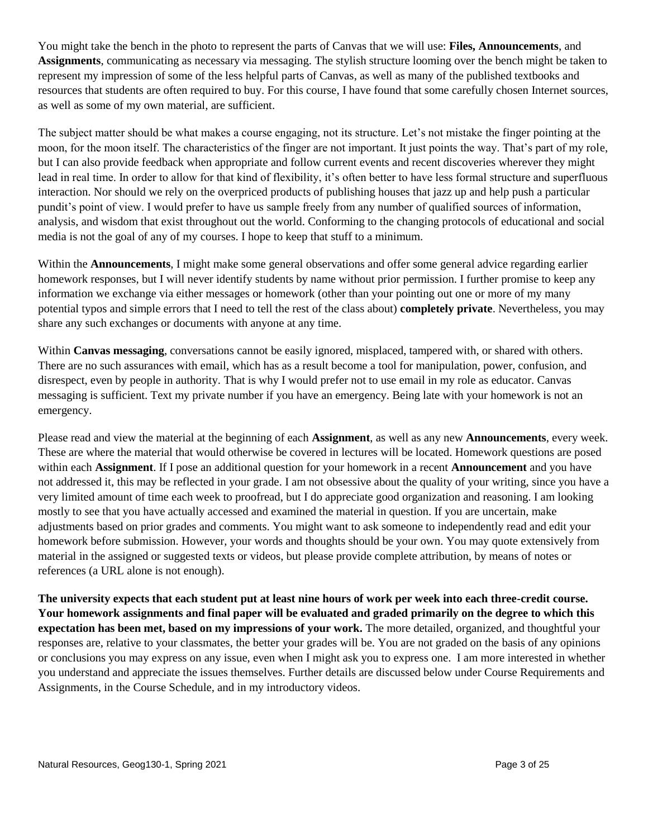You might take the bench in the photo to represent the parts of Canvas that we will use: **Files, Announcements**, and **Assignments**, communicating as necessary via messaging. The stylish structure looming over the bench might be taken to represent my impression of some of the less helpful parts of Canvas, as well as many of the published textbooks and resources that students are often required to buy. For this course, I have found that some carefully chosen Internet sources, as well as some of my own material, are sufficient.

The subject matter should be what makes a course engaging, not its structure. Let's not mistake the finger pointing at the moon, for the moon itself. The characteristics of the finger are not important. It just points the way. That's part of my role, but I can also provide feedback when appropriate and follow current events and recent discoveries wherever they might lead in real time. In order to allow for that kind of flexibility, it's often better to have less formal structure and superfluous interaction. Nor should we rely on the overpriced products of publishing houses that jazz up and help push a particular pundit's point of view. I would prefer to have us sample freely from any number of qualified sources of information, analysis, and wisdom that exist throughout out the world. Conforming to the changing protocols of educational and social media is not the goal of any of my courses. I hope to keep that stuff to a minimum.

Within the **Announcements**, I might make some general observations and offer some general advice regarding earlier homework responses, but I will never identify students by name without prior permission. I further promise to keep any information we exchange via either messages or homework (other than your pointing out one or more of my many potential typos and simple errors that I need to tell the rest of the class about) **completely private**. Nevertheless, you may share any such exchanges or documents with anyone at any time.

Within **Canvas messaging**, conversations cannot be easily ignored, misplaced, tampered with, or shared with others. There are no such assurances with email, which has as a result become a tool for manipulation, power, confusion, and disrespect, even by people in authority. That is why I would prefer not to use email in my role as educator. Canvas messaging is sufficient. Text my private number if you have an emergency. Being late with your homework is not an emergency.

Please read and view the material at the beginning of each **Assignment**, as well as any new **Announcements**, every week. These are where the material that would otherwise be covered in lectures will be located. Homework questions are posed within each **Assignment**. If I pose an additional question for your homework in a recent **Announcement** and you have not addressed it, this may be reflected in your grade. I am not obsessive about the quality of your writing, since you have a very limited amount of time each week to proofread, but I do appreciate good organization and reasoning. I am looking mostly to see that you have actually accessed and examined the material in question. If you are uncertain, make adjustments based on prior grades and comments. You might want to ask someone to independently read and edit your homework before submission. However, your words and thoughts should be your own. You may quote extensively from material in the assigned or suggested texts or videos, but please provide complete attribution, by means of notes or references (a URL alone is not enough).

**The university expects that each student put at least nine hours of work per week into each three-credit course. Your homework assignments and final paper will be evaluated and graded primarily on the degree to which this expectation has been met, based on my impressions of your work.** The more detailed, organized, and thoughtful your responses are, relative to your classmates, the better your grades will be. You are not graded on the basis of any opinions or conclusions you may express on any issue, even when I might ask you to express one. I am more interested in whether you understand and appreciate the issues themselves. Further details are discussed below under Course Requirements and Assignments, in the Course Schedule, and in my introductory videos.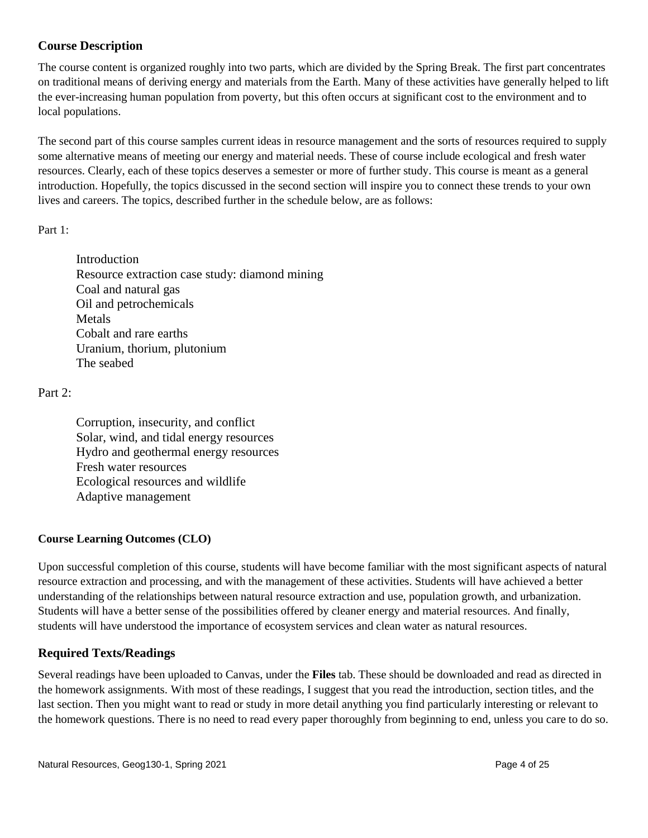# **Course Description**

The course content is organized roughly into two parts, which are divided by the Spring Break. The first part concentrates on traditional means of deriving energy and materials from the Earth. Many of these activities have generally helped to lift the ever-increasing human population from poverty, but this often occurs at significant cost to the environment and to local populations.

The second part of this course samples current ideas in resource management and the sorts of resources required to supply some alternative means of meeting our energy and material needs. These of course include ecological and fresh water resources. Clearly, each of these topics deserves a semester or more of further study. This course is meant as a general introduction. Hopefully, the topics discussed in the second section will inspire you to connect these trends to your own lives and careers. The topics, described further in the schedule below, are as follows:

#### Part 1:

Introduction Resource extraction case study: diamond mining Coal and natural gas Oil and petrochemicals Metals Cobalt and rare earths Uranium, thorium, plutonium The seabed

#### Part 2:

Corruption, insecurity, and conflict Solar, wind, and tidal energy resources Hydro and geothermal energy resources Fresh water resources Ecological resources and wildlife Adaptive management

#### **Course Learning Outcomes (CLO)**

Upon successful completion of this course, students will have become familiar with the most significant aspects of natural resource extraction and processing, and with the management of these activities. Students will have achieved a better understanding of the relationships between natural resource extraction and use, population growth, and urbanization. Students will have a better sense of the possibilities offered by cleaner energy and material resources. And finally, students will have understood the importance of ecosystem services and clean water as natural resources.

## **Required Texts/Readings**

Several readings have been uploaded to Canvas, under the **Files** tab. These should be downloaded and read as directed in the homework assignments. With most of these readings, I suggest that you read the introduction, section titles, and the last section. Then you might want to read or study in more detail anything you find particularly interesting or relevant to the homework questions. There is no need to read every paper thoroughly from beginning to end, unless you care to do so.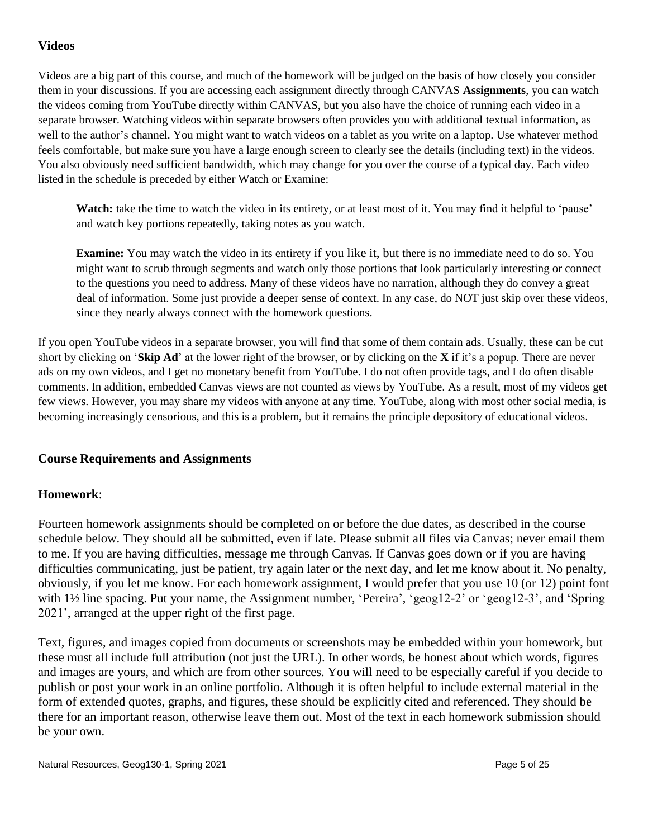## **Videos**

Videos are a big part of this course, and much of the homework will be judged on the basis of how closely you consider them in your discussions. If you are accessing each assignment directly through CANVAS **Assignments**, you can watch the videos coming from YouTube directly within CANVAS, but you also have the choice of running each video in a separate browser. Watching videos within separate browsers often provides you with additional textual information, as well to the author's channel. You might want to watch videos on a tablet as you write on a laptop. Use whatever method feels comfortable, but make sure you have a large enough screen to clearly see the details (including text) in the videos. You also obviously need sufficient bandwidth, which may change for you over the course of a typical day. Each video listed in the schedule is preceded by either Watch or Examine:

**Watch:** take the time to watch the video in its entirety, or at least most of it. You may find it helpful to 'pause' and watch key portions repeatedly, taking notes as you watch.

**Examine:** You may watch the video in its entirety if you like it, but there is no immediate need to do so. You might want to scrub through segments and watch only those portions that look particularly interesting or connect to the questions you need to address. Many of these videos have no narration, although they do convey a great deal of information. Some just provide a deeper sense of context. In any case, do NOT just skip over these videos, since they nearly always connect with the homework questions.

If you open YouTube videos in a separate browser, you will find that some of them contain ads. Usually, these can be cut short by clicking on '**Skip Ad**' at the lower right of the browser, or by clicking on the **X** if it's a popup. There are never ads on my own videos, and I get no monetary benefit from YouTube. I do not often provide tags, and I do often disable comments. In addition, embedded Canvas views are not counted as views by YouTube. As a result, most of my videos get few views. However, you may share my videos with anyone at any time. YouTube, along with most other social media, is becoming increasingly censorious, and this is a problem, but it remains the principle depository of educational videos.

## **Course Requirements and Assignments**

#### **Homework**:

Fourteen homework assignments should be completed on or before the due dates, as described in the course schedule below. They should all be submitted, even if late. Please submit all files via Canvas; never email them to me. If you are having difficulties, message me through Canvas. If Canvas goes down or if you are having difficulties communicating, just be patient, try again later or the next day, and let me know about it. No penalty, obviously, if you let me know. For each homework assignment, I would prefer that you use 10 (or 12) point font with 1½ line spacing. Put your name, the Assignment number, 'Pereira', 'geog12-2' or 'geog12-3', and 'Spring 2021', arranged at the upper right of the first page.

Text, figures, and images copied from documents or screenshots may be embedded within your homework, but these must all include full attribution (not just the URL). In other words, be honest about which words, figures and images are yours, and which are from other sources. You will need to be especially careful if you decide to publish or post your work in an online portfolio. Although it is often helpful to include external material in the form of extended quotes, graphs, and figures, these should be explicitly cited and referenced. They should be there for an important reason, otherwise leave them out. Most of the text in each homework submission should be your own.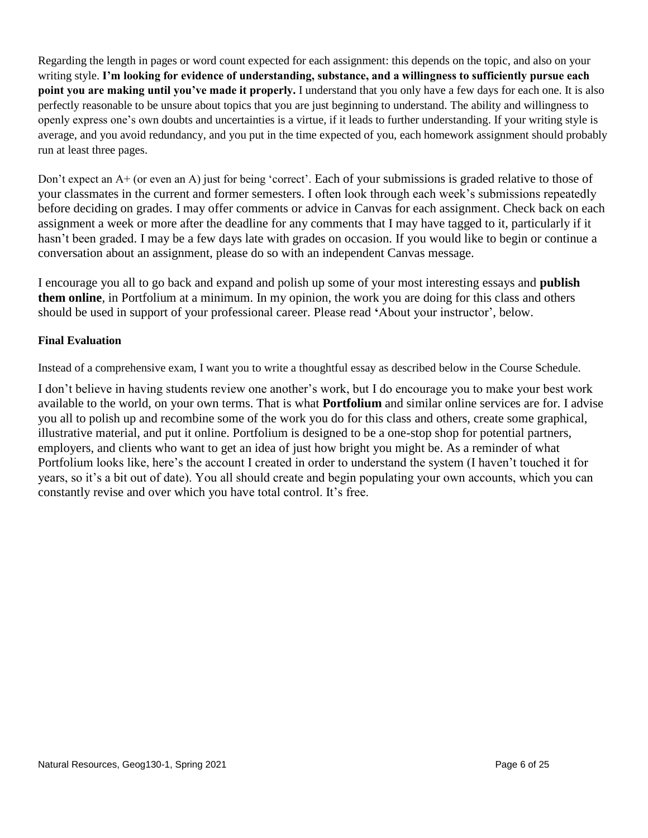Regarding the length in pages or word count expected for each assignment: this depends on the topic, and also on your writing style. **I'm looking for evidence of understanding, substance, and a willingness to sufficiently pursue each point you are making until you've made it properly.** I understand that you only have a few days for each one. It is also perfectly reasonable to be unsure about topics that you are just beginning to understand. The ability and willingness to openly express one's own doubts and uncertainties is a virtue, if it leads to further understanding. If your writing style is average, and you avoid redundancy, and you put in the time expected of you, each homework assignment should probably run at least three pages.

Don't expect an A+ (or even an A) just for being 'correct'. Each of your submissions is graded relative to those of your classmates in the current and former semesters. I often look through each week's submissions repeatedly before deciding on grades. I may offer comments or advice in Canvas for each assignment. Check back on each assignment a week or more after the deadline for any comments that I may have tagged to it, particularly if it hasn't been graded. I may be a few days late with grades on occasion. If you would like to begin or continue a conversation about an assignment, please do so with an independent Canvas message.

I encourage you all to go back and expand and polish up some of your most interesting essays and **publish them online**, in Portfolium at a minimum. In my opinion, the work you are doing for this class and others should be used in support of your professional career. Please read **'**About your instructor', below.

#### **Final Evaluation**

Instead of a comprehensive exam, I want you to write a thoughtful essay as described below in the Course Schedule.

I don't believe in having students review one another's work, but I do encourage you to make your best work available to the world, on your own terms. That is what **Portfolium** and similar online services are for. I advise you all to polish up and recombine some of the work you do for this class and others, create some graphical, illustrative material, and put it online. Portfolium is designed to be a one-stop shop for potential partners, employers, and clients who want to get an idea of just how bright you might be. As a reminder of what Portfolium looks like, here's the account I created in order to understand the system (I haven't touched it for years, so it's a bit out of date). You all should create and begin populating your own accounts, which you can constantly revise and over which you have total control. It's free.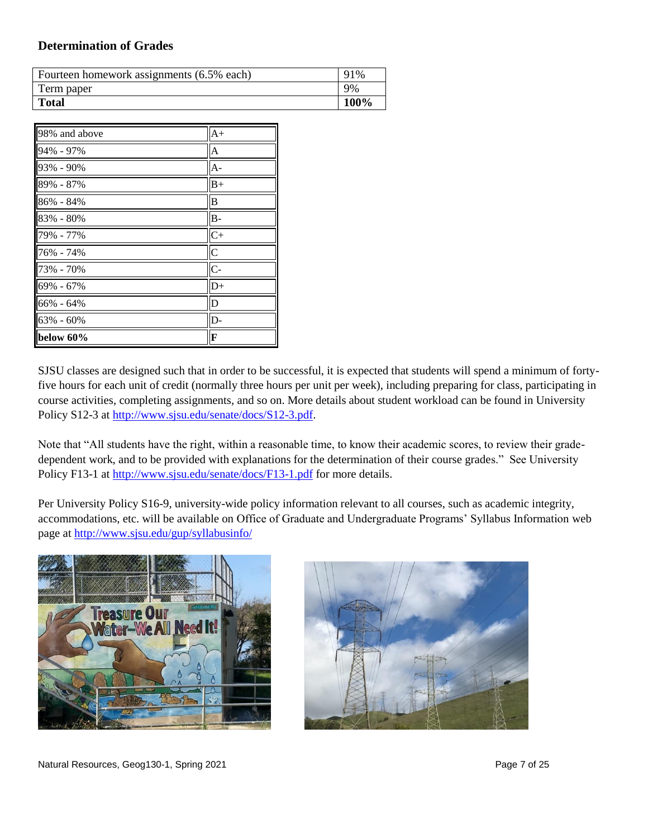#### **Determination of Grades**

| Fourteen homework assignments (6.5% each) | 91%  |
|-------------------------------------------|------|
| Term paper                                | 9%   |
| <b>Total</b>                              | 100% |

| 98% and above | $A+$           |
|---------------|----------------|
| 94% - 97%     | A              |
| 93% - 90%     | $A -$          |
| $89\% - 87\%$ | $B+$           |
| 86% - 84%     | B              |
| 83% - 80%     | $B -$          |
| 79% - 77%     | $C+$           |
| 76% - 74%     | $\overline{C}$ |
| 73% - 70%     | $C -$          |
| 69% - 67%     | $D+$           |
| 66% - 64%     | D              |
| 63% - 60%     | D-             |
| below 60%     | F              |

SJSU classes are designed such that in order to be successful, it is expected that students will spend a minimum of fortyfive hours for each unit of credit (normally three hours per unit per week), including preparing for class, participating in course activities, completing assignments, and so on. More details about student workload can be found in University Policy S12-3 at [http://www.sjsu.edu/senate/docs/S12-3.pdf.](http://www.sjsu.edu/senate/docs/S12-3.pdf)

Note that "All students have the right, within a reasonable time, to know their academic scores, to review their gradedependent work, and to be provided with explanations for the determination of their course grades." See University Policy F13-1 at<http://www.sjsu.edu/senate/docs/F13-1.pdf> for more details.

Per University Policy S16-9, university-wide policy information relevant to all courses, such as academic integrity, accommodations, etc. will be available on Office of Graduate and Undergraduate Programs' Syllabus Information web page at<http://www.sjsu.edu/gup/syllabusinfo/>



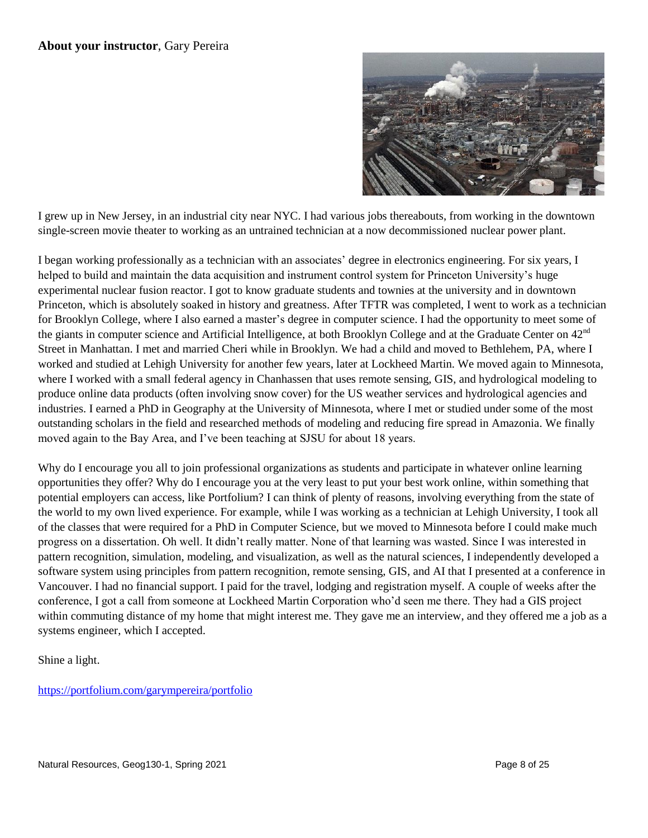

I grew up in New Jersey, in an industrial city near NYC. I had various jobs thereabouts, from working in the downtown single-screen movie theater to working as an untrained technician at a now decommissioned nuclear power plant.

I began working professionally as a technician with an associates' degree in electronics engineering. For six years, I helped to build and maintain the data acquisition and instrument control system for Princeton University's huge experimental nuclear fusion reactor. I got to know graduate students and townies at the university and in downtown Princeton, which is absolutely soaked in history and greatness. After TFTR was completed, I went to work as a technician for Brooklyn College, where I also earned a master's degree in computer science. I had the opportunity to meet some of the giants in computer science and Artificial Intelligence, at both Brooklyn College and at the Graduate Center on  $42<sup>nd</sup>$ Street in Manhattan. I met and married Cheri while in Brooklyn. We had a child and moved to Bethlehem, PA, where I worked and studied at Lehigh University for another few years, later at Lockheed Martin. We moved again to Minnesota, where I worked with a small federal agency in Chanhassen that uses remote sensing, GIS, and hydrological modeling to produce online data products (often involving snow cover) for the US weather services and hydrological agencies and industries. I earned a PhD in Geography at the University of Minnesota, where I met or studied under some of the most outstanding scholars in the field and researched methods of modeling and reducing fire spread in Amazonia. We finally moved again to the Bay Area, and I've been teaching at SJSU for about 18 years.

Why do I encourage you all to join professional organizations as students and participate in whatever online learning opportunities they offer? Why do I encourage you at the very least to put your best work online, within something that potential employers can access, like Portfolium? I can think of plenty of reasons, involving everything from the state of the world to my own lived experience. For example, while I was working as a technician at Lehigh University, I took all of the classes that were required for a PhD in Computer Science, but we moved to Minnesota before I could make much progress on a dissertation. Oh well. It didn't really matter. None of that learning was wasted. Since I was interested in pattern recognition, simulation, modeling, and visualization, as well as the natural sciences, I independently developed a software system using principles from pattern recognition, remote sensing, GIS, and AI that I presented at a conference in Vancouver. I had no financial support. I paid for the travel, lodging and registration myself. A couple of weeks after the conference, I got a call from someone at Lockheed Martin Corporation who'd seen me there. They had a GIS project within commuting distance of my home that might interest me. They gave me an interview, and they offered me a job as a systems engineer, which I accepted.

Shine a light.

<https://portfolium.com/garympereira/portfolio>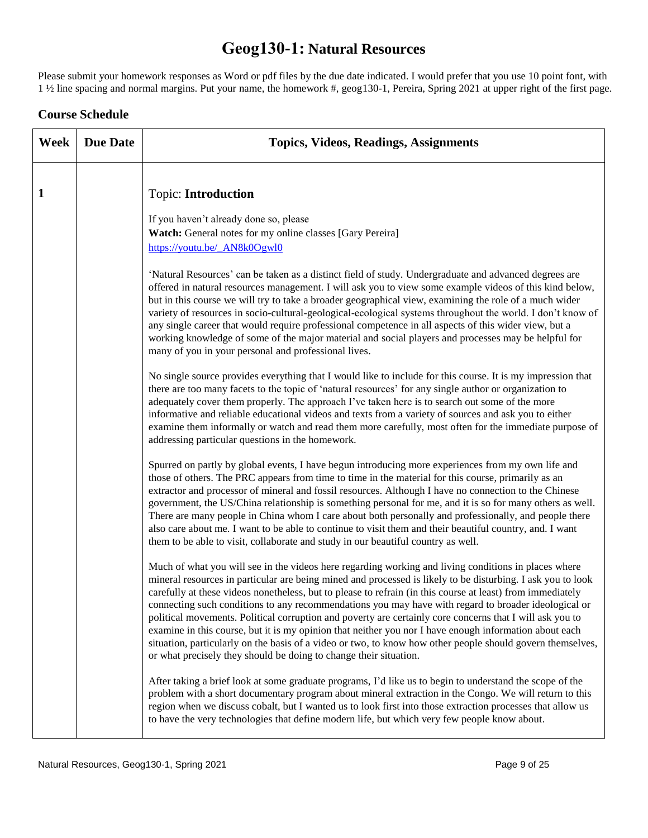# **Geog130-1: Natural Resources**

Please submit your homework responses as Word or pdf files by the due date indicated. I would prefer that you use 10 point font, with 1 ½ line spacing and normal margins. Put your name, the homework #, geog130-1, Pereira, Spring 2021 at upper right of the first page.

#### **Course Schedule**

| Week | <b>Due Date</b> | <b>Topics, Videos, Readings, Assignments</b>                                                                                                                                                                                                                                                                                                                                                                                                                                                                                                                                                                                                                                                                                                                                                                                                       |
|------|-----------------|----------------------------------------------------------------------------------------------------------------------------------------------------------------------------------------------------------------------------------------------------------------------------------------------------------------------------------------------------------------------------------------------------------------------------------------------------------------------------------------------------------------------------------------------------------------------------------------------------------------------------------------------------------------------------------------------------------------------------------------------------------------------------------------------------------------------------------------------------|
| 1    |                 | <b>Topic: Introduction</b><br>If you haven't already done so, please<br>Watch: General notes for my online classes [Gary Pereira]<br>https://youtu.be/_AN8k0Ogwl0                                                                                                                                                                                                                                                                                                                                                                                                                                                                                                                                                                                                                                                                                  |
|      |                 | 'Natural Resources' can be taken as a distinct field of study. Undergraduate and advanced degrees are<br>offered in natural resources management. I will ask you to view some example videos of this kind below,<br>but in this course we will try to take a broader geographical view, examining the role of a much wider<br>variety of resources in socio-cultural-geological-ecological systems throughout the world. I don't know of<br>any single career that would require professional competence in all aspects of this wider view, but a<br>working knowledge of some of the major material and social players and processes may be helpful for<br>many of you in your personal and professional lives.                                                                                                                                   |
|      |                 | No single source provides everything that I would like to include for this course. It is my impression that<br>there are too many facets to the topic of 'natural resources' for any single author or organization to<br>adequately cover them properly. The approach I've taken here is to search out some of the more<br>informative and reliable educational videos and texts from a variety of sources and ask you to either<br>examine them informally or watch and read them more carefully, most often for the immediate purpose of<br>addressing particular questions in the homework.                                                                                                                                                                                                                                                     |
|      |                 | Spurred on partly by global events, I have begun introducing more experiences from my own life and<br>those of others. The PRC appears from time to time in the material for this course, primarily as an<br>extractor and processor of mineral and fossil resources. Although I have no connection to the Chinese<br>government, the US/China relationship is something personal for me, and it is so for many others as well.<br>There are many people in China whom I care about both personally and professionally, and people there<br>also care about me. I want to be able to continue to visit them and their beautiful country, and. I want<br>them to be able to visit, collaborate and study in our beautiful country as well.                                                                                                          |
|      |                 | Much of what you will see in the videos here regarding working and living conditions in places where<br>mineral resources in particular are being mined and processed is likely to be disturbing. I ask you to look<br>carefully at these videos nonetheless, but to please to refrain (in this course at least) from immediately<br>connecting such conditions to any recommendations you may have with regard to broader ideological or<br>political movements. Political corruption and poverty are certainly core concerns that I will ask you to<br>examine in this course, but it is my opinion that neither you nor I have enough information about each<br>situation, particularly on the basis of a video or two, to know how other people should govern themselves,<br>or what precisely they should be doing to change their situation. |
|      |                 | After taking a brief look at some graduate programs, I'd like us to begin to understand the scope of the<br>problem with a short documentary program about mineral extraction in the Congo. We will return to this<br>region when we discuss cobalt, but I wanted us to look first into those extraction processes that allow us<br>to have the very technologies that define modern life, but which very few people know about.                                                                                                                                                                                                                                                                                                                                                                                                                   |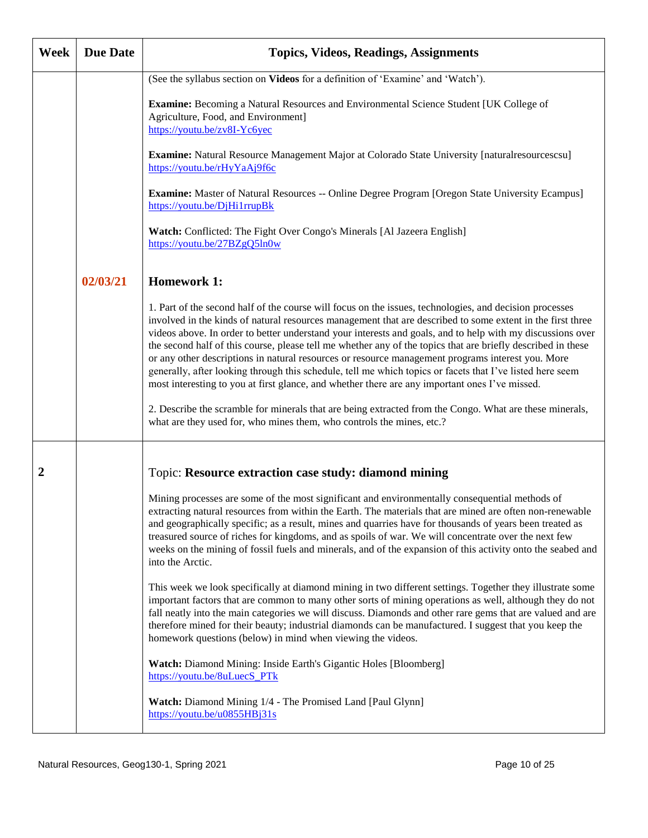| Week | <b>Due Date</b> | <b>Topics, Videos, Readings, Assignments</b>                                                                                                                                                                                                                                                                                                                                                                                                                                                                                                                                                                                                                                                                                                                            |
|------|-----------------|-------------------------------------------------------------------------------------------------------------------------------------------------------------------------------------------------------------------------------------------------------------------------------------------------------------------------------------------------------------------------------------------------------------------------------------------------------------------------------------------------------------------------------------------------------------------------------------------------------------------------------------------------------------------------------------------------------------------------------------------------------------------------|
|      |                 | (See the syllabus section on Videos for a definition of 'Examine' and 'Watch').<br><b>Examine:</b> Becoming a Natural Resources and Environmental Science Student [UK College of<br>Agriculture, Food, and Environment]<br>https://youtu.be/zv8I-Yc6yec                                                                                                                                                                                                                                                                                                                                                                                                                                                                                                                 |
|      |                 | Examine: Natural Resource Management Major at Colorado State University [naturalresourcescsu]<br>https://youtu.be/rHyYaAj9f6c                                                                                                                                                                                                                                                                                                                                                                                                                                                                                                                                                                                                                                           |
|      |                 | <b>Examine:</b> Master of Natural Resources -- Online Degree Program [Oregon State University Ecampus]<br>https://youtu.be/DjHi1rrupBk                                                                                                                                                                                                                                                                                                                                                                                                                                                                                                                                                                                                                                  |
|      |                 | Watch: Conflicted: The Fight Over Congo's Minerals [Al Jazeera English]<br>https://youtu.be/27BZgQ5ln0w                                                                                                                                                                                                                                                                                                                                                                                                                                                                                                                                                                                                                                                                 |
|      | 02/03/21        | <b>Homework 1:</b>                                                                                                                                                                                                                                                                                                                                                                                                                                                                                                                                                                                                                                                                                                                                                      |
|      |                 | 1. Part of the second half of the course will focus on the issues, technologies, and decision processes<br>involved in the kinds of natural resources management that are described to some extent in the first three<br>videos above. In order to better understand your interests and goals, and to help with my discussions over<br>the second half of this course, please tell me whether any of the topics that are briefly described in these<br>or any other descriptions in natural resources or resource management programs interest you. More<br>generally, after looking through this schedule, tell me which topics or facets that I've listed here seem<br>most interesting to you at first glance, and whether there are any important ones I've missed. |
|      |                 | 2. Describe the scramble for minerals that are being extracted from the Congo. What are these minerals,<br>what are they used for, who mines them, who controls the mines, etc.?                                                                                                                                                                                                                                                                                                                                                                                                                                                                                                                                                                                        |
| 2    |                 | Topic: Resource extraction case study: diamond mining                                                                                                                                                                                                                                                                                                                                                                                                                                                                                                                                                                                                                                                                                                                   |
|      |                 | Mining processes are some of the most significant and environmentally consequential methods of<br>extracting natural resources from within the Earth. The materials that are mined are often non-renewable<br>and geographically specific; as a result, mines and quarries have for thousands of years been treated as<br>treasured source of riches for kingdoms, and as spoils of war. We will concentrate over the next few<br>weeks on the mining of fossil fuels and minerals, and of the expansion of this activity onto the seabed and<br>into the Arctic.                                                                                                                                                                                                       |
|      |                 | This week we look specifically at diamond mining in two different settings. Together they illustrate some<br>important factors that are common to many other sorts of mining operations as well, although they do not<br>fall neatly into the main categories we will discuss. Diamonds and other rare gems that are valued and are<br>therefore mined for their beauty; industrial diamonds can be manufactured. I suggest that you keep the<br>homework questions (below) in mind when viewing the videos.                                                                                                                                                                                                                                                            |
|      |                 | Watch: Diamond Mining: Inside Earth's Gigantic Holes [Bloomberg]<br>https://youtu.be/8uLuecS_PTk                                                                                                                                                                                                                                                                                                                                                                                                                                                                                                                                                                                                                                                                        |
|      |                 | Watch: Diamond Mining 1/4 - The Promised Land [Paul Glynn]<br>$\frac{https://youtu.be/u0855HBj31s}{https://youtu.be/u0855HBj31s}$                                                                                                                                                                                                                                                                                                                                                                                                                                                                                                                                                                                                                                       |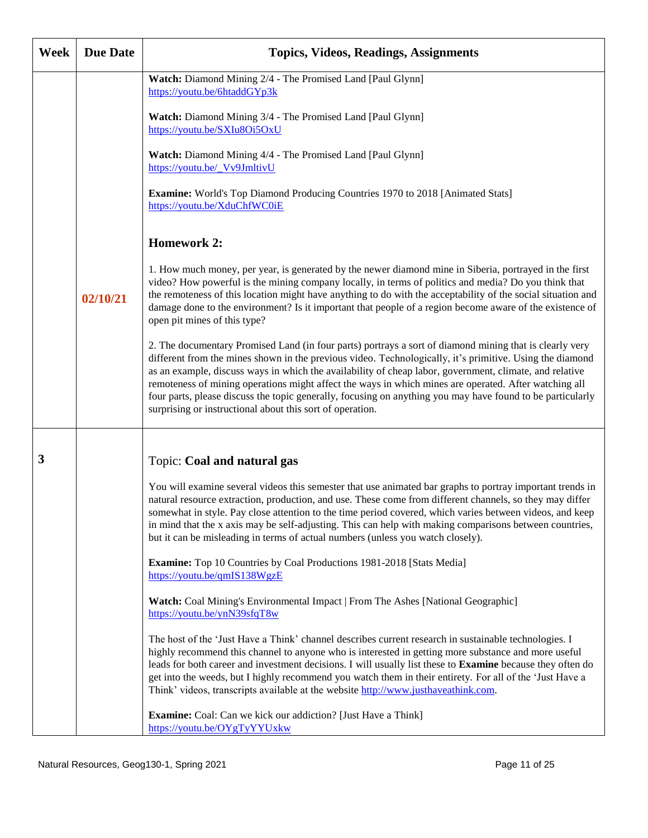| Week | <b>Due Date</b> | <b>Topics, Videos, Readings, Assignments</b>                                                                                                                                                                                                                                                                                                                                                                                                                                                                                                                                                                       |
|------|-----------------|--------------------------------------------------------------------------------------------------------------------------------------------------------------------------------------------------------------------------------------------------------------------------------------------------------------------------------------------------------------------------------------------------------------------------------------------------------------------------------------------------------------------------------------------------------------------------------------------------------------------|
|      |                 | Watch: Diamond Mining 2/4 - The Promised Land [Paul Glynn]<br>https://youtu.be/6htaddGYp3k                                                                                                                                                                                                                                                                                                                                                                                                                                                                                                                         |
|      |                 | Watch: Diamond Mining 3/4 - The Promised Land [Paul Glynn]<br>https://youtu.be/SXIu8Oi5OxU                                                                                                                                                                                                                                                                                                                                                                                                                                                                                                                         |
|      |                 | Watch: Diamond Mining 4/4 - The Promised Land [Paul Glynn]<br>https://youtu.be/ Vv9JmltivU                                                                                                                                                                                                                                                                                                                                                                                                                                                                                                                         |
|      |                 | Examine: World's Top Diamond Producing Countries 1970 to 2018 [Animated Stats]<br>https://youtu.be/XduChfWC0iE                                                                                                                                                                                                                                                                                                                                                                                                                                                                                                     |
|      |                 | <b>Homework 2:</b>                                                                                                                                                                                                                                                                                                                                                                                                                                                                                                                                                                                                 |
|      | 02/10/21        | 1. How much money, per year, is generated by the newer diamond mine in Siberia, portrayed in the first<br>video? How powerful is the mining company locally, in terms of politics and media? Do you think that<br>the remoteness of this location might have anything to do with the acceptability of the social situation and<br>damage done to the environment? Is it important that people of a region become aware of the existence of<br>open pit mines of this type?                                                                                                                                         |
|      |                 | 2. The documentary Promised Land (in four parts) portrays a sort of diamond mining that is clearly very<br>different from the mines shown in the previous video. Technologically, it's primitive. Using the diamond<br>as an example, discuss ways in which the availability of cheap labor, government, climate, and relative<br>remoteness of mining operations might affect the ways in which mines are operated. After watching all<br>four parts, please discuss the topic generally, focusing on anything you may have found to be particularly<br>surprising or instructional about this sort of operation. |
| 3    |                 | Topic: Coal and natural gas                                                                                                                                                                                                                                                                                                                                                                                                                                                                                                                                                                                        |
|      |                 | You will examine several videos this semester that use animated bar graphs to portray important trends in<br>natural resource extraction, production, and use. These come from different channels, so they may differ<br>somewhat in style. Pay close attention to the time period covered, which varies between videos, and keep<br>in mind that the x axis may be self-adjusting. This can help with making comparisons between countries,<br>but it can be misleading in terms of actual numbers (unless you watch closely).                                                                                    |
|      |                 | Examine: Top 10 Countries by Coal Productions 1981-2018 [Stats Media]<br>https://youtu.be/qmIS138WgzE                                                                                                                                                                                                                                                                                                                                                                                                                                                                                                              |
|      |                 | Watch: Coal Mining's Environmental Impact   From The Ashes [National Geographic]<br>https://youtu.be/ynN39sfqT8w                                                                                                                                                                                                                                                                                                                                                                                                                                                                                                   |
|      |                 | The host of the 'Just Have a Think' channel describes current research in sustainable technologies. I<br>highly recommend this channel to anyone who is interested in getting more substance and more useful<br>leads for both career and investment decisions. I will usually list these to Examine because they often do<br>get into the weeds, but I highly recommend you watch them in their entirety. For all of the 'Just Have a<br>Think' videos, transcripts available at the website http://www.justhaveathink.com.                                                                                       |
|      |                 | <b>Examine:</b> Coal: Can we kick our addiction? [Just Have a Think]<br>https://youtu.be/OYgTyYYUxkw                                                                                                                                                                                                                                                                                                                                                                                                                                                                                                               |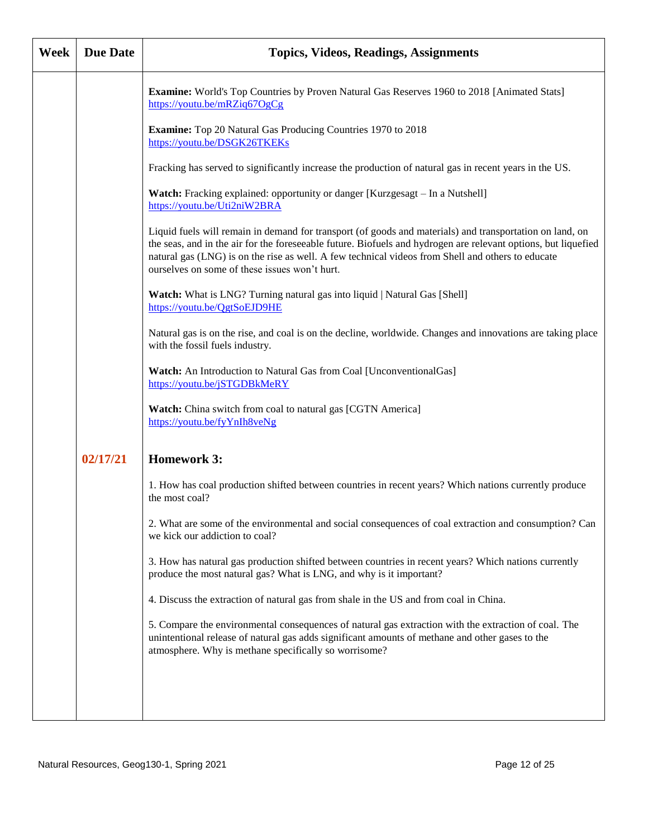| Week | <b>Due Date</b> | <b>Topics, Videos, Readings, Assignments</b>                                                                                                                                                                                                                                                                                                                                     |
|------|-----------------|----------------------------------------------------------------------------------------------------------------------------------------------------------------------------------------------------------------------------------------------------------------------------------------------------------------------------------------------------------------------------------|
|      |                 | <b>Examine:</b> World's Top Countries by Proven Natural Gas Reserves 1960 to 2018 [Animated Stats]<br>https://youtu.be/mRZiq67OgCg                                                                                                                                                                                                                                               |
|      |                 | Examine: Top 20 Natural Gas Producing Countries 1970 to 2018<br>https://youtu.be/DSGK26TKEKs                                                                                                                                                                                                                                                                                     |
|      |                 | Fracking has served to significantly increase the production of natural gas in recent years in the US.                                                                                                                                                                                                                                                                           |
|      |                 | Watch: Fracking explained: opportunity or danger [Kurzgesagt - In a Nutshell]<br>https://youtu.be/Uti2niW2BRA                                                                                                                                                                                                                                                                    |
|      |                 | Liquid fuels will remain in demand for transport (of goods and materials) and transportation on land, on<br>the seas, and in the air for the foreseeable future. Biofuels and hydrogen are relevant options, but liquefied<br>natural gas (LNG) is on the rise as well. A few technical videos from Shell and others to educate<br>ourselves on some of these issues won't hurt. |
|      |                 | Watch: What is LNG? Turning natural gas into liquid   Natural Gas [Shell]<br>https://youtu.be/QgtSoEJD9HE                                                                                                                                                                                                                                                                        |
|      |                 | Natural gas is on the rise, and coal is on the decline, worldwide. Changes and innovations are taking place<br>with the fossil fuels industry.                                                                                                                                                                                                                                   |
|      |                 | Watch: An Introduction to Natural Gas from Coal [UnconventionalGas]<br>https://youtu.be/jSTGDBkMeRY                                                                                                                                                                                                                                                                              |
|      |                 | Watch: China switch from coal to natural gas [CGTN America]<br>https://youtu.be/fyYnIh8veNg                                                                                                                                                                                                                                                                                      |
|      | 02/17/21        | <b>Homework 3:</b>                                                                                                                                                                                                                                                                                                                                                               |
|      |                 | 1. How has coal production shifted between countries in recent years? Which nations currently produce<br>the most coal?                                                                                                                                                                                                                                                          |
|      |                 | 2. What are some of the environmental and social consequences of coal extraction and consumption? Can<br>we kick our addiction to coal?                                                                                                                                                                                                                                          |
|      |                 | 3. How has natural gas production shifted between countries in recent years? Which nations currently<br>produce the most natural gas? What is LNG, and why is it important?                                                                                                                                                                                                      |
|      |                 | 4. Discuss the extraction of natural gas from shale in the US and from coal in China.                                                                                                                                                                                                                                                                                            |
|      |                 | 5. Compare the environmental consequences of natural gas extraction with the extraction of coal. The<br>unintentional release of natural gas adds significant amounts of methane and other gases to the<br>atmosphere. Why is methane specifically so worrisome?                                                                                                                 |
|      |                 |                                                                                                                                                                                                                                                                                                                                                                                  |
|      |                 |                                                                                                                                                                                                                                                                                                                                                                                  |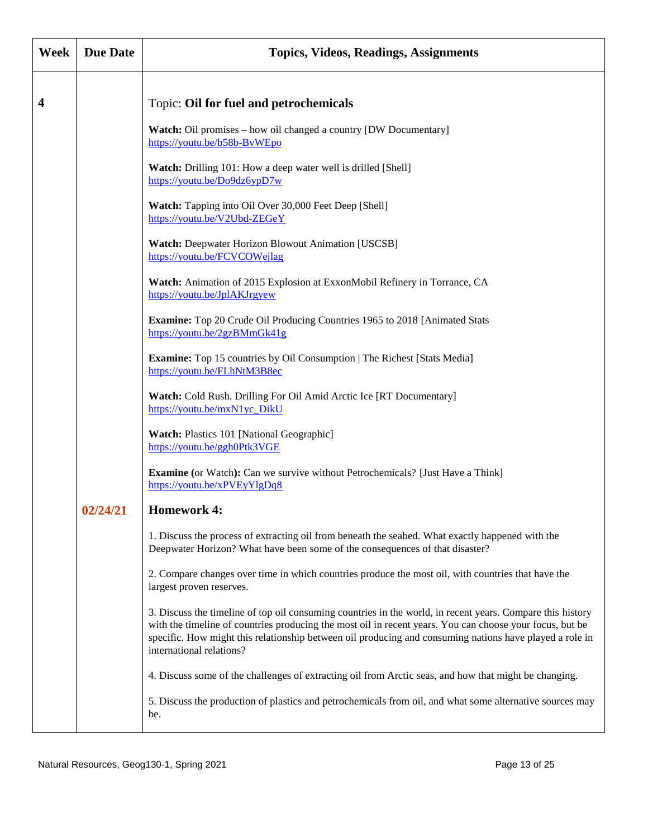| Week | <b>Due Date</b> | <b>Topics, Videos, Readings, Assignments</b>                                                                                                                                                                                                                                                                                                                  |
|------|-----------------|---------------------------------------------------------------------------------------------------------------------------------------------------------------------------------------------------------------------------------------------------------------------------------------------------------------------------------------------------------------|
| 4    |                 | Topic: Oil for fuel and petrochemicals                                                                                                                                                                                                                                                                                                                        |
|      |                 | Watch: Oil promises - how oil changed a country [DW Documentary]<br>https://youtu.be/b58b-BvWEpo                                                                                                                                                                                                                                                              |
|      |                 | Watch: Drilling 101: How a deep water well is drilled [Shell]<br>https://youtu.be/Do9dz6ypD7w                                                                                                                                                                                                                                                                 |
|      |                 | Watch: Tapping into Oil Over 30,000 Feet Deep [Shell]<br>https://youtu.be/V2Ubd-ZEGeY                                                                                                                                                                                                                                                                         |
|      |                 | Watch: Deepwater Horizon Blowout Animation [USCSB]<br>https://youtu.be/FCVCOWejlag                                                                                                                                                                                                                                                                            |
|      |                 | Watch: Animation of 2015 Explosion at ExxonMobil Refinery in Torrance, CA<br>https://youtu.be/JplAKJrgyew                                                                                                                                                                                                                                                     |
|      |                 | Examine: Top 20 Crude Oil Producing Countries 1965 to 2018 [Animated Stats<br>https://youtu.be/2gzBMmGk41g                                                                                                                                                                                                                                                    |
|      |                 | <b>Examine:</b> Top 15 countries by Oil Consumption   The Richest [Stats Media]<br>https://youtu.be/FLhNtM3B8ec                                                                                                                                                                                                                                               |
|      |                 | Watch: Cold Rush. Drilling For Oil Amid Arctic Ice [RT Documentary]<br>https://youtu.be/mxN1yc_DikU                                                                                                                                                                                                                                                           |
|      |                 | <b>Watch: Plastics 101 [National Geographic]</b><br>https://youtu.be/ggh0Ptk3VGE                                                                                                                                                                                                                                                                              |
|      |                 | <b>Examine</b> (or Watch): Can we survive without Petrochemicals? [Just Have a Think]<br>https://youtu.be/xPVEyYlgDq8                                                                                                                                                                                                                                         |
|      | 02/24/21        | <b>Homework 4:</b>                                                                                                                                                                                                                                                                                                                                            |
|      |                 | 1. Discuss the process of extracting oil from beneath the seabed. What exactly happened with the<br>Deepwater Horizon? What have been some of the consequences of that disaster?                                                                                                                                                                              |
|      |                 | 2. Compare changes over time in which countries produce the most oil, with countries that have the<br>largest proven reserves.                                                                                                                                                                                                                                |
|      |                 | 3. Discuss the timeline of top oil consuming countries in the world, in recent years. Compare this history<br>with the timeline of countries producing the most oil in recent years. You can choose your focus, but be<br>specific. How might this relationship between oil producing and consuming nations have played a role in<br>international relations? |
|      |                 | 4. Discuss some of the challenges of extracting oil from Arctic seas, and how that might be changing.                                                                                                                                                                                                                                                         |
|      |                 | 5. Discuss the production of plastics and petrochemicals from oil, and what some alternative sources may<br>be.                                                                                                                                                                                                                                               |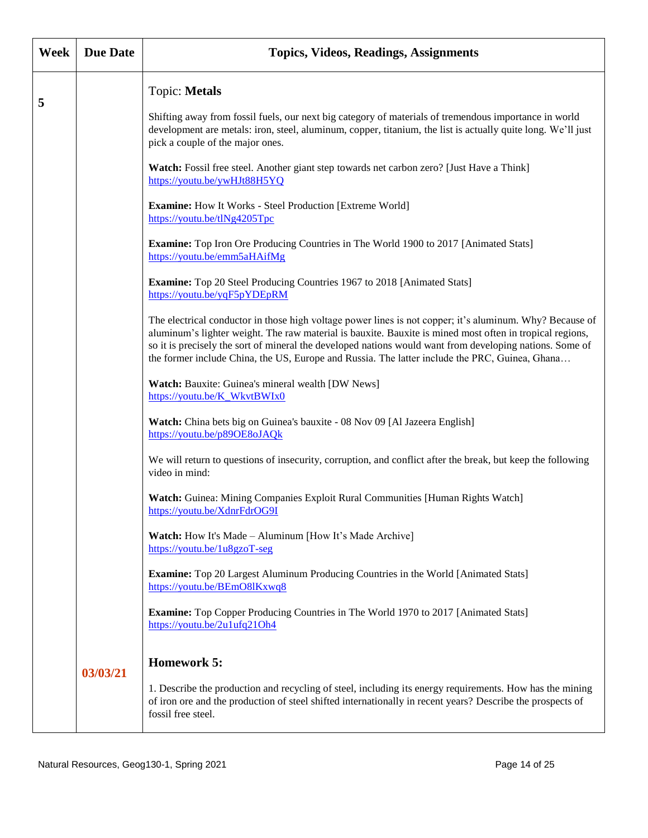| Week | <b>Due Date</b> | <b>Topics, Videos, Readings, Assignments</b>                                                                                                                                                                                                                                                                                                                                                                                       |
|------|-----------------|------------------------------------------------------------------------------------------------------------------------------------------------------------------------------------------------------------------------------------------------------------------------------------------------------------------------------------------------------------------------------------------------------------------------------------|
| 5    |                 | Topic: Metals                                                                                                                                                                                                                                                                                                                                                                                                                      |
|      |                 | Shifting away from fossil fuels, our next big category of materials of tremendous importance in world<br>development are metals: iron, steel, aluminum, copper, titanium, the list is actually quite long. We'll just<br>pick a couple of the major ones.                                                                                                                                                                          |
|      |                 | Watch: Fossil free steel. Another giant step towards net carbon zero? [Just Have a Think]<br>https://youtu.be/ywHJt88H5YQ                                                                                                                                                                                                                                                                                                          |
|      |                 | <b>Examine:</b> How It Works - Steel Production [Extreme World]<br>https://youtu.be/tlNg4205Tpc                                                                                                                                                                                                                                                                                                                                    |
|      |                 | <b>Examine:</b> Top Iron Ore Producing Countries in The World 1900 to 2017 [Animated Stats]<br>https://youtu.be/emm5aHAifMg                                                                                                                                                                                                                                                                                                        |
|      |                 | Examine: Top 20 Steel Producing Countries 1967 to 2018 [Animated Stats]<br>https://youtu.be/yqF5pYDEpRM                                                                                                                                                                                                                                                                                                                            |
|      |                 | The electrical conductor in those high voltage power lines is not copper; it's aluminum. Why? Because of<br>aluminum's lighter weight. The raw material is bauxite. Bauxite is mined most often in tropical regions,<br>so it is precisely the sort of mineral the developed nations would want from developing nations. Some of<br>the former include China, the US, Europe and Russia. The latter include the PRC, Guinea, Ghana |
|      |                 | Watch: Bauxite: Guinea's mineral wealth [DW News]<br>https://youtu.be/K WkvtBWIx0                                                                                                                                                                                                                                                                                                                                                  |
|      |                 | Watch: China bets big on Guinea's bauxite - 08 Nov 09 [Al Jazeera English]<br>https://youtu.be/p89OE8oJAQk                                                                                                                                                                                                                                                                                                                         |
|      |                 | We will return to questions of insecurity, corruption, and conflict after the break, but keep the following<br>video in mind:                                                                                                                                                                                                                                                                                                      |
|      |                 | Watch: Guinea: Mining Companies Exploit Rural Communities [Human Rights Watch]<br>https://youtu.be/XdnrFdrOG9I                                                                                                                                                                                                                                                                                                                     |
|      |                 | <b>Watch:</b> How It's Made - Aluminum [How It's Made Archive]<br>https://youtu.be/1u8gzoT-seg                                                                                                                                                                                                                                                                                                                                     |
|      |                 | <b>Examine:</b> Top 20 Largest Aluminum Producing Countries in the World [Animated Stats]<br>https://youtu.be/BEmO8lKxwq8                                                                                                                                                                                                                                                                                                          |
|      |                 | <b>Examine:</b> Top Copper Producing Countries in The World 1970 to 2017 [Animated Stats]<br>https://youtu.be/2u1ufq21Oh4                                                                                                                                                                                                                                                                                                          |
|      | 03/03/21        | <b>Homework 5:</b>                                                                                                                                                                                                                                                                                                                                                                                                                 |
|      |                 | 1. Describe the production and recycling of steel, including its energy requirements. How has the mining<br>of iron ore and the production of steel shifted internationally in recent years? Describe the prospects of<br>fossil free steel.                                                                                                                                                                                       |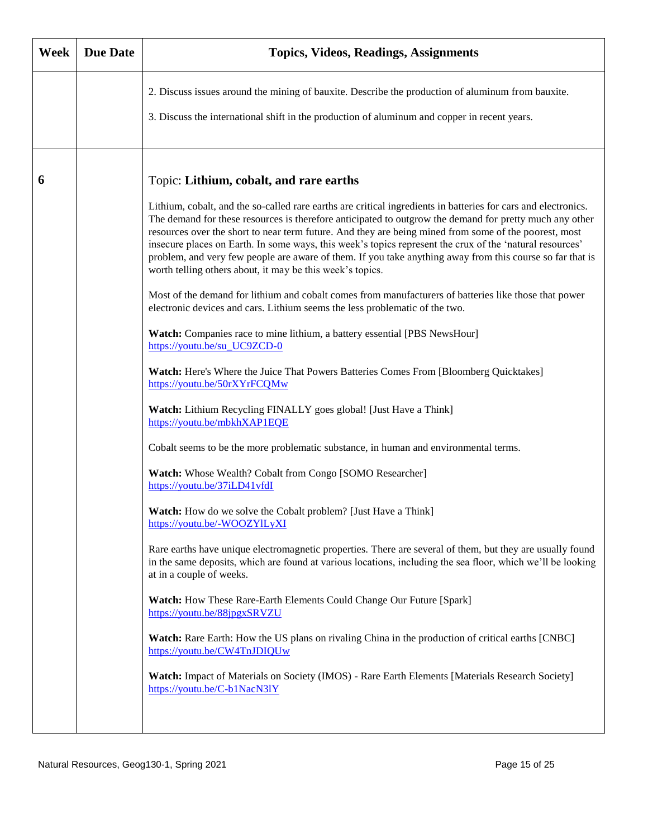| Week | <b>Due Date</b> | <b>Topics, Videos, Readings, Assignments</b>                                                                                                                                                                                                                                                                                                                                                                                                                                                                                                                                                                                                                                                                                                                                                                                                                                                                                                                                                                                                                                                                                                                                                                                                                                                                                                                                                                                                                                                                                                                                                                                                                                                                                                                                                                                                                                                                                                                                                                                                                                                                                                       |
|------|-----------------|----------------------------------------------------------------------------------------------------------------------------------------------------------------------------------------------------------------------------------------------------------------------------------------------------------------------------------------------------------------------------------------------------------------------------------------------------------------------------------------------------------------------------------------------------------------------------------------------------------------------------------------------------------------------------------------------------------------------------------------------------------------------------------------------------------------------------------------------------------------------------------------------------------------------------------------------------------------------------------------------------------------------------------------------------------------------------------------------------------------------------------------------------------------------------------------------------------------------------------------------------------------------------------------------------------------------------------------------------------------------------------------------------------------------------------------------------------------------------------------------------------------------------------------------------------------------------------------------------------------------------------------------------------------------------------------------------------------------------------------------------------------------------------------------------------------------------------------------------------------------------------------------------------------------------------------------------------------------------------------------------------------------------------------------------------------------------------------------------------------------------------------------------|
|      |                 | 2. Discuss issues around the mining of bauxite. Describe the production of aluminum from bauxite.<br>3. Discuss the international shift in the production of aluminum and copper in recent years.                                                                                                                                                                                                                                                                                                                                                                                                                                                                                                                                                                                                                                                                                                                                                                                                                                                                                                                                                                                                                                                                                                                                                                                                                                                                                                                                                                                                                                                                                                                                                                                                                                                                                                                                                                                                                                                                                                                                                  |
| 6    |                 | Topic: Lithium, cobalt, and rare earths<br>Lithium, cobalt, and the so-called rare earths are critical ingredients in batteries for cars and electronics.<br>The demand for these resources is therefore anticipated to outgrow the demand for pretty much any other<br>resources over the short to near term future. And they are being mined from some of the poorest, most<br>insecure places on Earth. In some ways, this week's topics represent the crux of the 'natural resources'<br>problem, and very few people are aware of them. If you take anything away from this course so far that is<br>worth telling others about, it may be this week's topics.<br>Most of the demand for lithium and cobalt comes from manufacturers of batteries like those that power<br>electronic devices and cars. Lithium seems the less problematic of the two.<br>Watch: Companies race to mine lithium, a battery essential [PBS NewsHour]<br>https://youtu.be/su_UC9ZCD-0<br>Watch: Here's Where the Juice That Powers Batteries Comes From [Bloomberg Quicktakes]<br>https://youtu.be/50rXYrFCQMw<br>Watch: Lithium Recycling FINALLY goes global! [Just Have a Think]<br>https://youtu.be/mbkhXAP1EQE<br>Cobalt seems to be the more problematic substance, in human and environmental terms.<br>Watch: Whose Wealth? Cobalt from Congo [SOMO Researcher]<br>https://youtu.be/37iLD41vfdI<br><b>Watch:</b> How do we solve the Cobalt problem? [Just Have a Think]<br>https://youtu.be/-WOOZYlLyXI<br>Rare earths have unique electromagnetic properties. There are several of them, but they are usually found<br>in the same deposits, which are found at various locations, including the sea floor, which we'll be looking<br>at in a couple of weeks.<br>Watch: How These Rare-Earth Elements Could Change Our Future [Spark]<br>https://youtu.be/88jpgxSRVZU<br><b>Watch:</b> Rare Earth: How the US plans on rivaling China in the production of critical earths [CNBC]<br>https://youtu.be/CW4TnJDIQUw<br>Watch: Impact of Materials on Society (IMOS) - Rare Earth Elements [Materials Research Society]<br>https://youtu.be/C-b1NacN31Y |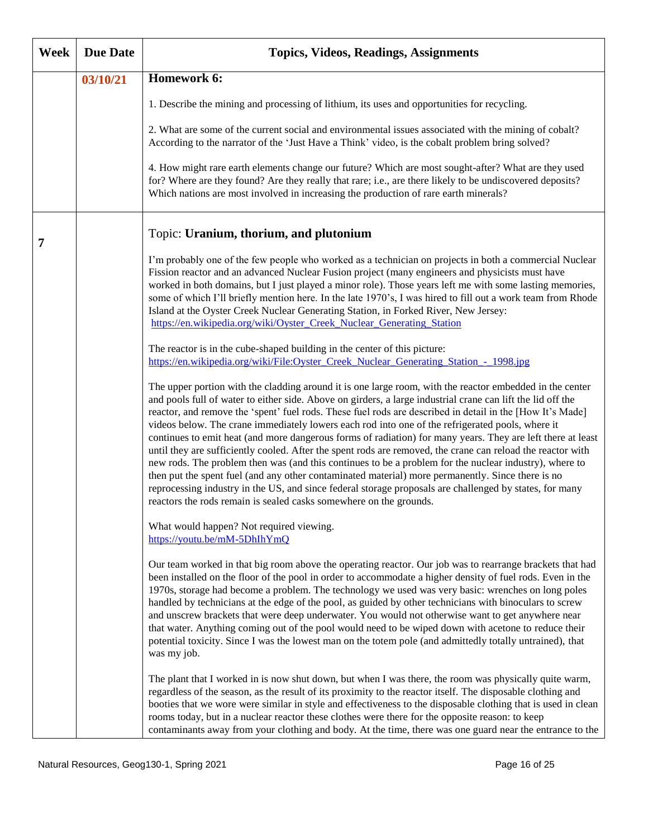| <b>Week</b> | <b>Due Date</b> | <b>Topics, Videos, Readings, Assignments</b>                                                                                                                                                                                                                                                                                                                                                                                                                                                                                                                                                                                                                                                                                                                                                                                                                                                                                                                                                                                                                           |
|-------------|-----------------|------------------------------------------------------------------------------------------------------------------------------------------------------------------------------------------------------------------------------------------------------------------------------------------------------------------------------------------------------------------------------------------------------------------------------------------------------------------------------------------------------------------------------------------------------------------------------------------------------------------------------------------------------------------------------------------------------------------------------------------------------------------------------------------------------------------------------------------------------------------------------------------------------------------------------------------------------------------------------------------------------------------------------------------------------------------------|
|             | 03/10/21        | Homework 6:                                                                                                                                                                                                                                                                                                                                                                                                                                                                                                                                                                                                                                                                                                                                                                                                                                                                                                                                                                                                                                                            |
|             |                 | 1. Describe the mining and processing of lithium, its uses and opportunities for recycling.                                                                                                                                                                                                                                                                                                                                                                                                                                                                                                                                                                                                                                                                                                                                                                                                                                                                                                                                                                            |
|             |                 | 2. What are some of the current social and environmental issues associated with the mining of cobalt?<br>According to the narrator of the 'Just Have a Think' video, is the cobalt problem bring solved?                                                                                                                                                                                                                                                                                                                                                                                                                                                                                                                                                                                                                                                                                                                                                                                                                                                               |
|             |                 | 4. How might rare earth elements change our future? Which are most sought-after? What are they used<br>for? Where are they found? Are they really that rare; i.e., are there likely to be undiscovered deposits?<br>Which nations are most involved in increasing the production of rare earth minerals?                                                                                                                                                                                                                                                                                                                                                                                                                                                                                                                                                                                                                                                                                                                                                               |
| 7           |                 | Topic: Uranium, thorium, and plutonium                                                                                                                                                                                                                                                                                                                                                                                                                                                                                                                                                                                                                                                                                                                                                                                                                                                                                                                                                                                                                                 |
|             |                 | I'm probably one of the few people who worked as a technician on projects in both a commercial Nuclear<br>Fission reactor and an advanced Nuclear Fusion project (many engineers and physicists must have<br>worked in both domains, but I just played a minor role). Those years left me with some lasting memories,<br>some of which I'll briefly mention here. In the late 1970's, I was hired to fill out a work team from Rhode<br>Island at the Oyster Creek Nuclear Generating Station, in Forked River, New Jersey:<br>https://en.wikipedia.org/wiki/Oyster_Creek_Nuclear_Generating_Station                                                                                                                                                                                                                                                                                                                                                                                                                                                                   |
|             |                 | The reactor is in the cube-shaped building in the center of this picture:<br>https://en.wikipedia.org/wiki/File:Oyster_Creek_Nuclear_Generating_Station_-_1998.jpg                                                                                                                                                                                                                                                                                                                                                                                                                                                                                                                                                                                                                                                                                                                                                                                                                                                                                                     |
|             |                 | The upper portion with the cladding around it is one large room, with the reactor embedded in the center<br>and pools full of water to either side. Above on girders, a large industrial crane can lift the lid off the<br>reactor, and remove the 'spent' fuel rods. These fuel rods are described in detail in the [How It's Made]<br>videos below. The crane immediately lowers each rod into one of the refrigerated pools, where it<br>continues to emit heat (and more dangerous forms of radiation) for many years. They are left there at least<br>until they are sufficiently cooled. After the spent rods are removed, the crane can reload the reactor with<br>new rods. The problem then was (and this continues to be a problem for the nuclear industry), where to<br>then put the spent fuel (and any other contaminated material) more permanently. Since there is no<br>reprocessing industry in the US, and since federal storage proposals are challenged by states, for many<br>reactors the rods remain is sealed casks somewhere on the grounds. |
|             |                 | What would happen? Not required viewing.<br>https://youtu.be/mM-5DhIhYmQ                                                                                                                                                                                                                                                                                                                                                                                                                                                                                                                                                                                                                                                                                                                                                                                                                                                                                                                                                                                               |
|             |                 | Our team worked in that big room above the operating reactor. Our job was to rearrange brackets that had<br>been installed on the floor of the pool in order to accommodate a higher density of fuel rods. Even in the<br>1970s, storage had become a problem. The technology we used was very basic: wrenches on long poles<br>handled by technicians at the edge of the pool, as guided by other technicians with binoculars to screw<br>and unscrew brackets that were deep underwater. You would not otherwise want to get anywhere near<br>that water. Anything coming out of the pool would need to be wiped down with acetone to reduce their<br>potential toxicity. Since I was the lowest man on the totem pole (and admittedly totally untrained), that<br>was my job.                                                                                                                                                                                                                                                                                       |
|             |                 | The plant that I worked in is now shut down, but when I was there, the room was physically quite warm,<br>regardless of the season, as the result of its proximity to the reactor itself. The disposable clothing and<br>booties that we wore were similar in style and effectiveness to the disposable clothing that is used in clean<br>rooms today, but in a nuclear reactor these clothes were there for the opposite reason: to keep<br>contaminants away from your clothing and body. At the time, there was one guard near the entrance to the                                                                                                                                                                                                                                                                                                                                                                                                                                                                                                                  |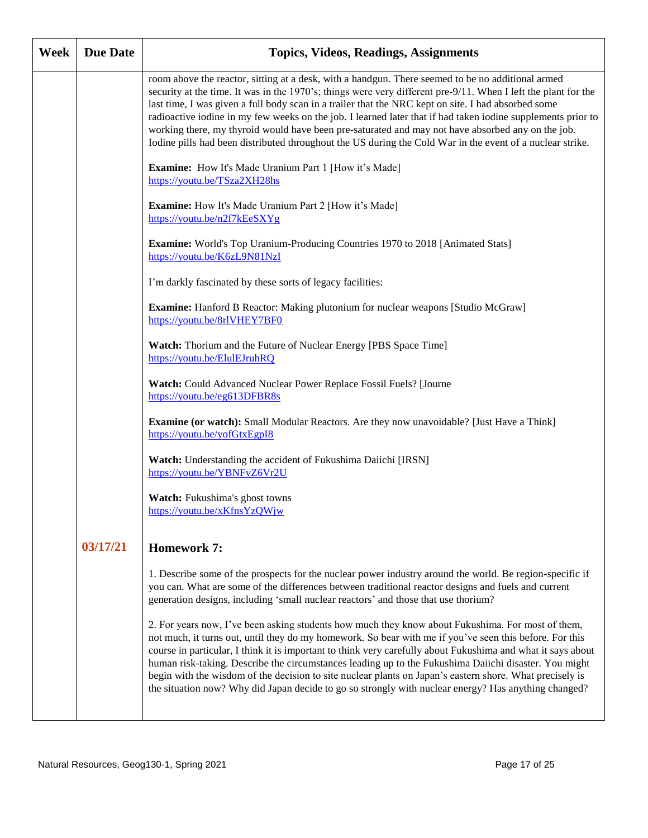| Week | <b>Due Date</b> | <b>Topics, Videos, Readings, Assignments</b>                                                                                                                                                                                                                                                                                                                                                                                                                                                                                                                                                                                                                 |
|------|-----------------|--------------------------------------------------------------------------------------------------------------------------------------------------------------------------------------------------------------------------------------------------------------------------------------------------------------------------------------------------------------------------------------------------------------------------------------------------------------------------------------------------------------------------------------------------------------------------------------------------------------------------------------------------------------|
|      |                 | room above the reactor, sitting at a desk, with a handgun. There seemed to be no additional armed<br>security at the time. It was in the 1970's; things were very different pre-9/11. When I left the plant for the<br>last time, I was given a full body scan in a trailer that the NRC kept on site. I had absorbed some<br>radioactive iodine in my few weeks on the job. I learned later that if had taken iodine supplements prior to<br>working there, my thyroid would have been pre-saturated and may not have absorbed any on the job.<br>Iodine pills had been distributed throughout the US during the Cold War in the event of a nuclear strike. |
|      |                 | <b>Examine:</b> How It's Made Uranium Part 1 [How it's Made]<br>https://youtu.be/TSza2XH28hs                                                                                                                                                                                                                                                                                                                                                                                                                                                                                                                                                                 |
|      |                 | Examine: How It's Made Uranium Part 2 [How it's Made]<br>https://youtu.be/n2f7kEeSXYg                                                                                                                                                                                                                                                                                                                                                                                                                                                                                                                                                                        |
|      |                 | Examine: World's Top Uranium-Producing Countries 1970 to 2018 [Animated Stats]<br>https://youtu.be/K6zL9N81NzI                                                                                                                                                                                                                                                                                                                                                                                                                                                                                                                                               |
|      |                 | I'm darkly fascinated by these sorts of legacy facilities:                                                                                                                                                                                                                                                                                                                                                                                                                                                                                                                                                                                                   |
|      |                 | Examine: Hanford B Reactor: Making plutonium for nuclear weapons [Studio McGraw]<br>https://youtu.be/8rlVHEY7BF0                                                                                                                                                                                                                                                                                                                                                                                                                                                                                                                                             |
|      |                 | Watch: Thorium and the Future of Nuclear Energy [PBS Space Time]<br>https://youtu.be/ElulEJruhRQ                                                                                                                                                                                                                                                                                                                                                                                                                                                                                                                                                             |
|      |                 | Watch: Could Advanced Nuclear Power Replace Fossil Fuels? [Journe<br>https://youtu.be/eg613DFBR8s                                                                                                                                                                                                                                                                                                                                                                                                                                                                                                                                                            |
|      |                 | <b>Examine (or watch):</b> Small Modular Reactors. Are they now unavoidable? [Just Have a Think]<br>https://youtu.be/yofGtxEgpI8                                                                                                                                                                                                                                                                                                                                                                                                                                                                                                                             |
|      |                 | Watch: Understanding the accident of Fukushima Daiichi [IRSN]<br>https://youtu.be/YBNFvZ6Vr2U                                                                                                                                                                                                                                                                                                                                                                                                                                                                                                                                                                |
|      |                 | Watch: Fukushima's ghost towns<br>https://youtu.be/xKfnsYzQWjw                                                                                                                                                                                                                                                                                                                                                                                                                                                                                                                                                                                               |
|      | 03/17/21        | <b>Homework 7:</b>                                                                                                                                                                                                                                                                                                                                                                                                                                                                                                                                                                                                                                           |
|      |                 | 1. Describe some of the prospects for the nuclear power industry around the world. Be region-specific if<br>you can. What are some of the differences between traditional reactor designs and fuels and current<br>generation designs, including 'small nuclear reactors' and those that use thorium?                                                                                                                                                                                                                                                                                                                                                        |
|      |                 | 2. For years now, I've been asking students how much they know about Fukushima. For most of them,<br>not much, it turns out, until they do my homework. So bear with me if you've seen this before. For this<br>course in particular, I think it is important to think very carefully about Fukushima and what it says about<br>human risk-taking. Describe the circumstances leading up to the Fukushima Daiichi disaster. You might<br>begin with the wisdom of the decision to site nuclear plants on Japan's eastern shore. What precisely is<br>the situation now? Why did Japan decide to go so strongly with nuclear energy? Has anything changed?    |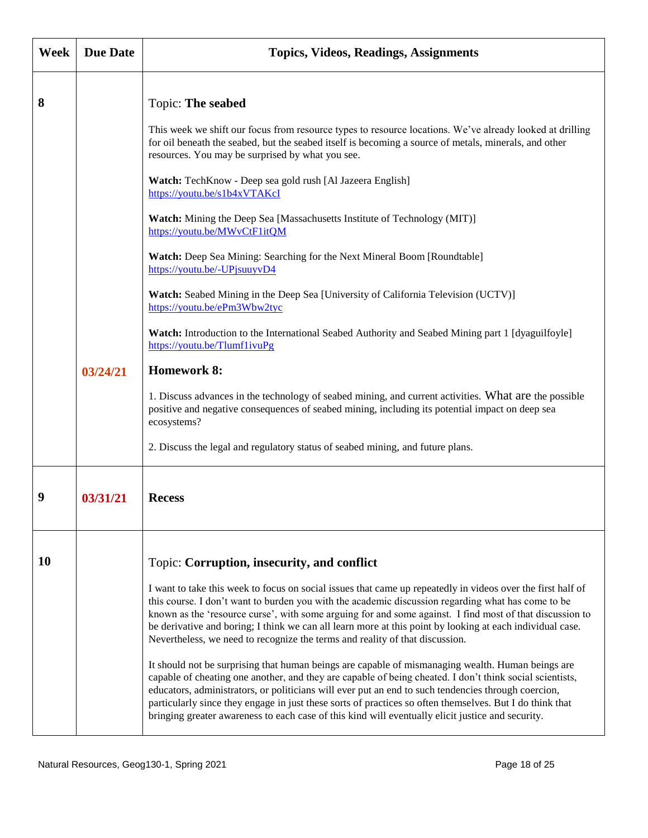| <b>Week</b> | <b>Due Date</b> | <b>Topics, Videos, Readings, Assignments</b>                                                                                                                                                                                                                                                                                                                                                                                                                                                                                                                                                                                                                                                                                                                                                                                                                                                                                                                                                                                                                                                                       |
|-------------|-----------------|--------------------------------------------------------------------------------------------------------------------------------------------------------------------------------------------------------------------------------------------------------------------------------------------------------------------------------------------------------------------------------------------------------------------------------------------------------------------------------------------------------------------------------------------------------------------------------------------------------------------------------------------------------------------------------------------------------------------------------------------------------------------------------------------------------------------------------------------------------------------------------------------------------------------------------------------------------------------------------------------------------------------------------------------------------------------------------------------------------------------|
| 8           | 03/24/21        | Topic: The seabed<br>This week we shift our focus from resource types to resource locations. We've already looked at drilling<br>for oil beneath the seabed, but the seabed itself is becoming a source of metals, minerals, and other<br>resources. You may be surprised by what you see.<br>Watch: TechKnow - Deep sea gold rush [Al Jazeera English]<br>https://youtu.be/s1b4xVTAKcI<br>Watch: Mining the Deep Sea [Massachusetts Institute of Technology (MIT)]<br>https://youtu.be/MWvCtF1itQM<br>Watch: Deep Sea Mining: Searching for the Next Mineral Boom [Roundtable]<br>https://youtu.be/-UPjsuuyvD4<br>Watch: Seabed Mining in the Deep Sea [University of California Television (UCTV)]<br>https://youtu.be/ePm3Wbw2tyc<br>Watch: Introduction to the International Seabed Authority and Seabed Mining part 1 [dyaguilfoyle]<br>https://youtu.be/TlumflivuPg<br><b>Homework 8:</b>                                                                                                                                                                                                                    |
|             |                 | 1. Discuss advances in the technology of seabed mining, and current activities. What are the possible<br>positive and negative consequences of seabed mining, including its potential impact on deep sea<br>ecosystems?<br>2. Discuss the legal and regulatory status of seabed mining, and future plans.                                                                                                                                                                                                                                                                                                                                                                                                                                                                                                                                                                                                                                                                                                                                                                                                          |
|             |                 |                                                                                                                                                                                                                                                                                                                                                                                                                                                                                                                                                                                                                                                                                                                                                                                                                                                                                                                                                                                                                                                                                                                    |
| 9           | 03/31/21        | <b>Recess</b>                                                                                                                                                                                                                                                                                                                                                                                                                                                                                                                                                                                                                                                                                                                                                                                                                                                                                                                                                                                                                                                                                                      |
| 10          |                 | Topic: Corruption, insecurity, and conflict<br>I want to take this week to focus on social issues that came up repeatedly in videos over the first half of<br>this course. I don't want to burden you with the academic discussion regarding what has come to be<br>known as the 'resource curse', with some arguing for and some against. I find most of that discussion to<br>be derivative and boring; I think we can all learn more at this point by looking at each individual case.<br>Nevertheless, we need to recognize the terms and reality of that discussion.<br>It should not be surprising that human beings are capable of mismanaging wealth. Human beings are<br>capable of cheating one another, and they are capable of being cheated. I don't think social scientists,<br>educators, administrators, or politicians will ever put an end to such tendencies through coercion,<br>particularly since they engage in just these sorts of practices so often themselves. But I do think that<br>bringing greater awareness to each case of this kind will eventually elicit justice and security. |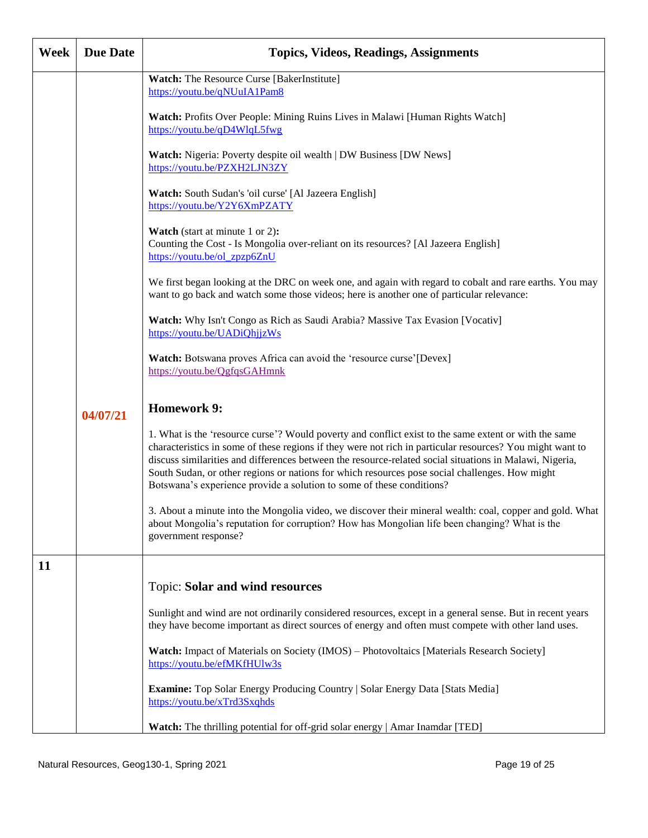| <b>Week</b> | <b>Due Date</b> | <b>Topics, Videos, Readings, Assignments</b>                                                                                                                                                                                                                                                                                                                                                                                                                                                             |
|-------------|-----------------|----------------------------------------------------------------------------------------------------------------------------------------------------------------------------------------------------------------------------------------------------------------------------------------------------------------------------------------------------------------------------------------------------------------------------------------------------------------------------------------------------------|
|             |                 | <b>Watch:</b> The Resource Curse [BakerInstitute]<br>https://youtu.be/qNUuIA1Pam8                                                                                                                                                                                                                                                                                                                                                                                                                        |
|             |                 | Watch: Profits Over People: Mining Ruins Lives in Malawi [Human Rights Watch]<br>https://youtu.be/qD4WlqL5fwg                                                                                                                                                                                                                                                                                                                                                                                            |
|             |                 | Watch: Nigeria: Poverty despite oil wealth   DW Business [DW News]<br>https://youtu.be/PZXH2LJN3ZY                                                                                                                                                                                                                                                                                                                                                                                                       |
|             |                 | Watch: South Sudan's 'oil curse' [Al Jazeera English]<br>https://youtu.be/Y2Y6XmPZATY                                                                                                                                                                                                                                                                                                                                                                                                                    |
|             |                 | <b>Watch</b> (start at minute 1 or 2):<br>Counting the Cost - Is Mongolia over-reliant on its resources? [Al Jazeera English]<br>https://youtu.be/ol_zpzp6ZnU                                                                                                                                                                                                                                                                                                                                            |
|             |                 | We first began looking at the DRC on week one, and again with regard to cobalt and rare earths. You may<br>want to go back and watch some those videos; here is another one of particular relevance:                                                                                                                                                                                                                                                                                                     |
|             |                 | Watch: Why Isn't Congo as Rich as Saudi Arabia? Massive Tax Evasion [Vocativ]<br>https://youtu.be/UADiQhjjzWs                                                                                                                                                                                                                                                                                                                                                                                            |
|             |                 | Watch: Botswana proves Africa can avoid the 'resource curse'[Devex]<br>https://youtu.be/QgfqsGAHmnk                                                                                                                                                                                                                                                                                                                                                                                                      |
|             | 04/07/21        | <b>Homework 9:</b>                                                                                                                                                                                                                                                                                                                                                                                                                                                                                       |
|             |                 | 1. What is the 'resource curse'? Would poverty and conflict exist to the same extent or with the same<br>characteristics in some of these regions if they were not rich in particular resources? You might want to<br>discuss similarities and differences between the resource-related social situations in Malawi, Nigeria,<br>South Sudan, or other regions or nations for which resources pose social challenges. How might<br>Botswana's experience provide a solution to some of these conditions? |
|             |                 | 3. About a minute into the Mongolia video, we discover their mineral wealth: coal, copper and gold. What<br>about Mongolia's reputation for corruption? How has Mongolian life been changing? What is the<br>government response?                                                                                                                                                                                                                                                                        |
| 11          |                 |                                                                                                                                                                                                                                                                                                                                                                                                                                                                                                          |
|             |                 | <b>Topic: Solar and wind resources</b>                                                                                                                                                                                                                                                                                                                                                                                                                                                                   |
|             |                 | Sunlight and wind are not ordinarily considered resources, except in a general sense. But in recent years<br>they have become important as direct sources of energy and often must compete with other land uses.                                                                                                                                                                                                                                                                                         |
|             |                 | Watch: Impact of Materials on Society (IMOS) - Photovoltaics [Materials Research Society]<br>https://youtu.be/efMKfHUlw3s                                                                                                                                                                                                                                                                                                                                                                                |
|             |                 | Examine: Top Solar Energy Producing Country   Solar Energy Data [Stats Media]<br>https://youtu.be/xTrd3Sxqhds                                                                                                                                                                                                                                                                                                                                                                                            |
|             |                 | Watch: The thrilling potential for off-grid solar energy   Amar Inamdar [TED]                                                                                                                                                                                                                                                                                                                                                                                                                            |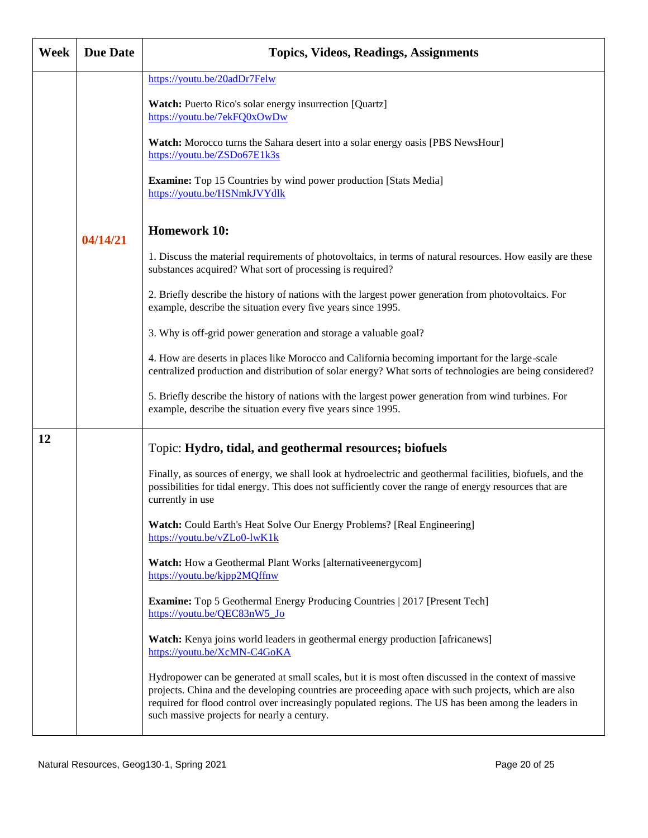| Week | <b>Due Date</b> | <b>Topics, Videos, Readings, Assignments</b>                                                                                                                                                                                                                                                                                                                         |
|------|-----------------|----------------------------------------------------------------------------------------------------------------------------------------------------------------------------------------------------------------------------------------------------------------------------------------------------------------------------------------------------------------------|
|      |                 | https://youtu.be/20adDr7Felw<br>Watch: Puerto Rico's solar energy insurrection [Quartz]                                                                                                                                                                                                                                                                              |
|      |                 | https://youtu.be/7ekFQ0xOwDw<br>Watch: Morocco turns the Sahara desert into a solar energy oasis [PBS NewsHour]                                                                                                                                                                                                                                                      |
|      |                 | https://youtu.be/ZSDo67E1k3s                                                                                                                                                                                                                                                                                                                                         |
|      |                 | <b>Examine:</b> Top 15 Countries by wind power production [Stats Media]<br>https://youtu.be/HSNmkJVYdlk                                                                                                                                                                                                                                                              |
|      | 04/14/21        | <b>Homework 10:</b>                                                                                                                                                                                                                                                                                                                                                  |
|      |                 | 1. Discuss the material requirements of photovoltaics, in terms of natural resources. How easily are these<br>substances acquired? What sort of processing is required?                                                                                                                                                                                              |
|      |                 | 2. Briefly describe the history of nations with the largest power generation from photovoltaics. For<br>example, describe the situation every five years since 1995.                                                                                                                                                                                                 |
|      |                 | 3. Why is off-grid power generation and storage a valuable goal?                                                                                                                                                                                                                                                                                                     |
|      |                 | 4. How are deserts in places like Morocco and California becoming important for the large-scale<br>centralized production and distribution of solar energy? What sorts of technologies are being considered?                                                                                                                                                         |
|      |                 | 5. Briefly describe the history of nations with the largest power generation from wind turbines. For<br>example, describe the situation every five years since 1995.                                                                                                                                                                                                 |
| 12   |                 | Topic: Hydro, tidal, and geothermal resources; biofuels                                                                                                                                                                                                                                                                                                              |
|      |                 | Finally, as sources of energy, we shall look at hydroelectric and geothermal facilities, biofuels, and the<br>possibilities for tidal energy. This does not sufficiently cover the range of energy resources that are<br>currently in use                                                                                                                            |
|      |                 | Watch: Could Earth's Heat Solve Our Energy Problems? [Real Engineering]<br>https://youtu.be/vZLo0-lwK1k                                                                                                                                                                                                                                                              |
|      |                 | Watch: How a Geothermal Plant Works [alternativeenergycom]<br>https://youtu.be/kjpp2MQffnw                                                                                                                                                                                                                                                                           |
|      |                 | <b>Examine:</b> Top 5 Geothermal Energy Producing Countries   2017 [Present Tech]<br>https://youtu.be/QEC83nW5_Jo                                                                                                                                                                                                                                                    |
|      |                 | Watch: Kenya joins world leaders in geothermal energy production [africanews]<br>https://youtu.be/XcMN-C4GoKA                                                                                                                                                                                                                                                        |
|      |                 | Hydropower can be generated at small scales, but it is most often discussed in the context of massive<br>projects. China and the developing countries are proceeding apace with such projects, which are also<br>required for flood control over increasingly populated regions. The US has been among the leaders in<br>such massive projects for nearly a century. |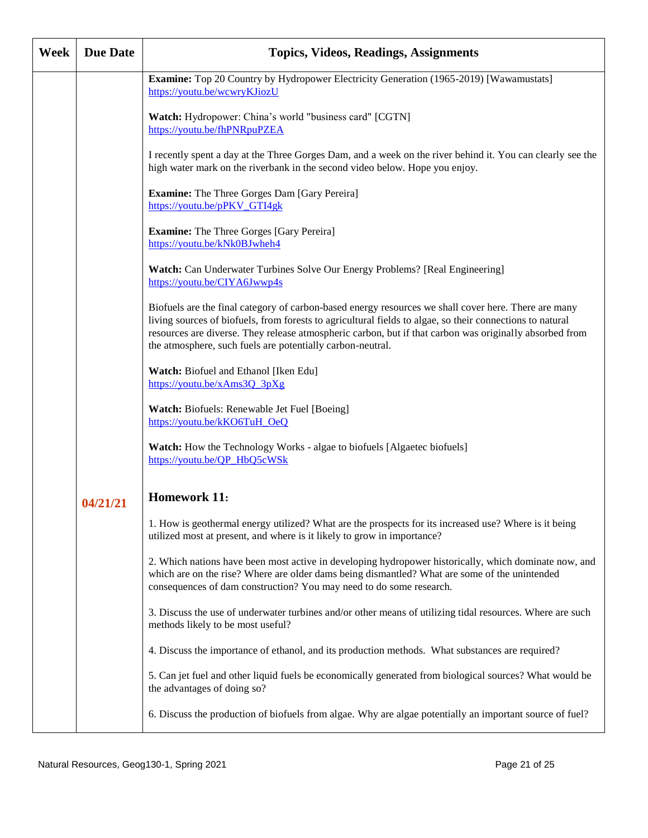| Week | <b>Due Date</b> | <b>Topics, Videos, Readings, Assignments</b>                                                                                                                                                                                                                                                                                                                                               |
|------|-----------------|--------------------------------------------------------------------------------------------------------------------------------------------------------------------------------------------------------------------------------------------------------------------------------------------------------------------------------------------------------------------------------------------|
|      |                 | <b>Examine:</b> Top 20 Country by Hydropower Electricity Generation (1965-2019) [Wawamustats]<br>https://youtu.be/wcwryKJiozU                                                                                                                                                                                                                                                              |
|      |                 | Watch: Hydropower: China's world "business card" [CGTN]<br>https://youtu.be/fhPNRpuPZEA                                                                                                                                                                                                                                                                                                    |
|      |                 | I recently spent a day at the Three Gorges Dam, and a week on the river behind it. You can clearly see the<br>high water mark on the riverbank in the second video below. Hope you enjoy.                                                                                                                                                                                                  |
|      |                 | <b>Examine:</b> The Three Gorges Dam [Gary Pereira]<br>https://youtu.be/pPKV GTI4gk                                                                                                                                                                                                                                                                                                        |
|      |                 | <b>Examine:</b> The Three Gorges [Gary Pereira]<br>https://youtu.be/kNk0BJwheh4                                                                                                                                                                                                                                                                                                            |
|      |                 | <b>Watch:</b> Can Underwater Turbines Solve Our Energy Problems? [Real Engineering]<br>https://youtu.be/CIYA6Jwwp4s                                                                                                                                                                                                                                                                        |
|      |                 | Biofuels are the final category of carbon-based energy resources we shall cover here. There are many<br>living sources of biofuels, from forests to agricultural fields to algae, so their connections to natural<br>resources are diverse. They release atmospheric carbon, but if that carbon was originally absorbed from<br>the atmosphere, such fuels are potentially carbon-neutral. |
|      |                 | Watch: Biofuel and Ethanol [Iken Edu]<br>https://youtu.be/xAms3Q 3pXg                                                                                                                                                                                                                                                                                                                      |
|      |                 | Watch: Biofuels: Renewable Jet Fuel [Boeing]<br>https://youtu.be/kKO6TuH OeQ                                                                                                                                                                                                                                                                                                               |
|      |                 | <b>Watch:</b> How the Technology Works - algae to biofuels [Algaetec biofuels]<br>https://youtu.be/QP_HbQ5cWSk                                                                                                                                                                                                                                                                             |
|      | 04/21/21        | <b>Homework 11:</b>                                                                                                                                                                                                                                                                                                                                                                        |
|      |                 | 1. How is geothermal energy utilized? What are the prospects for its increased use? Where is it being<br>utilized most at present, and where is it likely to grow in importance?                                                                                                                                                                                                           |
|      |                 | 2. Which nations have been most active in developing hydropower historically, which dominate now, and<br>which are on the rise? Where are older dams being dismantled? What are some of the unintended<br>consequences of dam construction? You may need to do some research.                                                                                                              |
|      |                 | 3. Discuss the use of underwater turbines and/or other means of utilizing tidal resources. Where are such<br>methods likely to be most useful?                                                                                                                                                                                                                                             |
|      |                 | 4. Discuss the importance of ethanol, and its production methods. What substances are required?                                                                                                                                                                                                                                                                                            |
|      |                 | 5. Can jet fuel and other liquid fuels be economically generated from biological sources? What would be<br>the advantages of doing so?                                                                                                                                                                                                                                                     |
|      |                 | 6. Discuss the production of biofuels from algae. Why are algae potentially an important source of fuel?                                                                                                                                                                                                                                                                                   |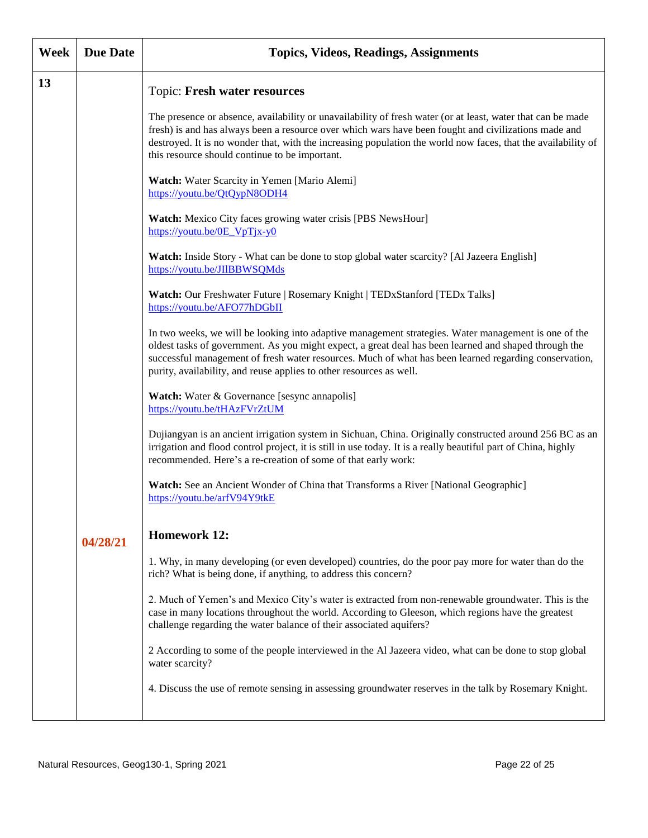| <b>Week</b> | <b>Due Date</b> | <b>Topics, Videos, Readings, Assignments</b>                                                                                                                                                                                                                                                                                                                                                  |
|-------------|-----------------|-----------------------------------------------------------------------------------------------------------------------------------------------------------------------------------------------------------------------------------------------------------------------------------------------------------------------------------------------------------------------------------------------|
| 13          |                 | Topic: Fresh water resources                                                                                                                                                                                                                                                                                                                                                                  |
|             |                 | The presence or absence, availability or unavailability of fresh water (or at least, water that can be made<br>fresh) is and has always been a resource over which wars have been fought and civilizations made and<br>destroyed. It is no wonder that, with the increasing population the world now faces, that the availability of<br>this resource should continue to be important.        |
|             |                 | Watch: Water Scarcity in Yemen [Mario Alemi]<br>https://youtu.be/QtQypN8ODH4                                                                                                                                                                                                                                                                                                                  |
|             |                 | Watch: Mexico City faces growing water crisis [PBS NewsHour]<br>$\frac{https://youtu.be/OE VpTix-y0}{areceq}$                                                                                                                                                                                                                                                                                 |
|             |                 | Watch: Inside Story - What can be done to stop global water scarcity? [Al Jazeera English]<br>https://youtu.be/JIlBBWSQMds                                                                                                                                                                                                                                                                    |
|             |                 | Watch: Our Freshwater Future   Rosemary Knight   TEDxStanford [TEDx Talks]<br>https://youtu.be/AFO77hDGbII                                                                                                                                                                                                                                                                                    |
|             |                 | In two weeks, we will be looking into adaptive management strategies. Water management is one of the<br>oldest tasks of government. As you might expect, a great deal has been learned and shaped through the<br>successful management of fresh water resources. Much of what has been learned regarding conservation,<br>purity, availability, and reuse applies to other resources as well. |
|             |                 | <b>Watch:</b> Water & Governance [sesync annapolis]<br>https://youtu.be/tHAzFVrZtUM                                                                                                                                                                                                                                                                                                           |
|             |                 | Dujiangyan is an ancient irrigation system in Sichuan, China. Originally constructed around 256 BC as an<br>irrigation and flood control project, it is still in use today. It is a really beautiful part of China, highly<br>recommended. Here's a re-creation of some of that early work:                                                                                                   |
|             |                 | Watch: See an Ancient Wonder of China that Transforms a River [National Geographic]<br>https://youtu.be/arfV94Y9tkE                                                                                                                                                                                                                                                                           |
|             | 04/28/21        | <b>Homework 12:</b>                                                                                                                                                                                                                                                                                                                                                                           |
|             |                 | 1. Why, in many developing (or even developed) countries, do the poor pay more for water than do the<br>rich? What is being done, if anything, to address this concern?                                                                                                                                                                                                                       |
|             |                 | 2. Much of Yemen's and Mexico City's water is extracted from non-renewable groundwater. This is the<br>case in many locations throughout the world. According to Gleeson, which regions have the greatest<br>challenge regarding the water balance of their associated aquifers?                                                                                                              |
|             |                 | 2 According to some of the people interviewed in the Al Jazeera video, what can be done to stop global<br>water scarcity?                                                                                                                                                                                                                                                                     |
|             |                 | 4. Discuss the use of remote sensing in assessing groundwater reserves in the talk by Rosemary Knight.                                                                                                                                                                                                                                                                                        |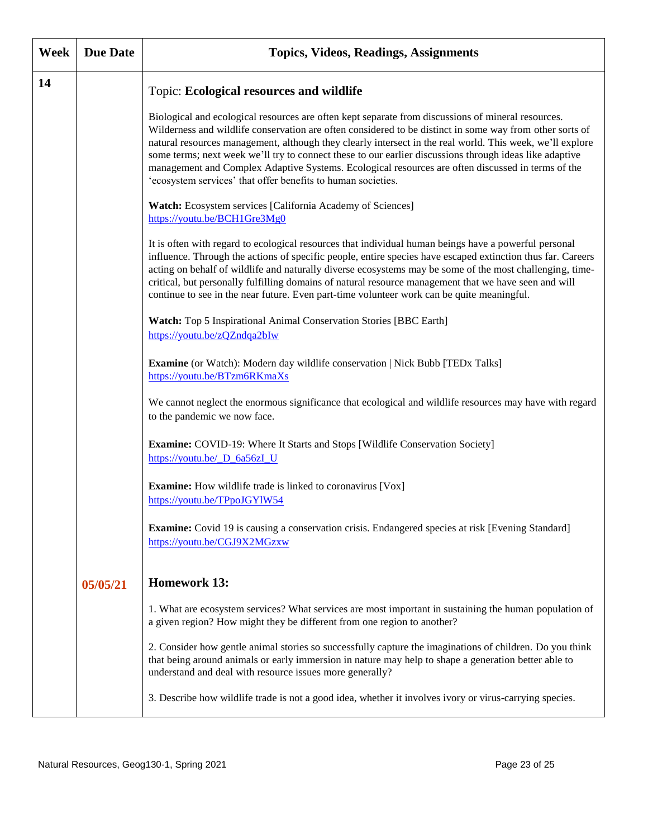| <b>Week</b> | <b>Due Date</b> | <b>Topics, Videos, Readings, Assignments</b>                                                                                                                                                                                                                                                                                                                                                                                                                                                                                                                                                                |
|-------------|-----------------|-------------------------------------------------------------------------------------------------------------------------------------------------------------------------------------------------------------------------------------------------------------------------------------------------------------------------------------------------------------------------------------------------------------------------------------------------------------------------------------------------------------------------------------------------------------------------------------------------------------|
| 14          |                 | Topic: Ecological resources and wildlife                                                                                                                                                                                                                                                                                                                                                                                                                                                                                                                                                                    |
|             |                 | Biological and ecological resources are often kept separate from discussions of mineral resources.<br>Wilderness and wildlife conservation are often considered to be distinct in some way from other sorts of<br>natural resources management, although they clearly intersect in the real world. This week, we'll explore<br>some terms; next week we'll try to connect these to our earlier discussions through ideas like adaptive<br>management and Complex Adaptive Systems. Ecological resources are often discussed in terms of the<br>'ecosystem services' that offer benefits to human societies. |
|             |                 | Watch: Ecosystem services [California Academy of Sciences]<br>https://youtu.be/BCH1Gre3Mg0                                                                                                                                                                                                                                                                                                                                                                                                                                                                                                                  |
|             |                 | It is often with regard to ecological resources that individual human beings have a powerful personal<br>influence. Through the actions of specific people, entire species have escaped extinction thus far. Careers<br>acting on behalf of wildlife and naturally diverse ecosystems may be some of the most challenging, time-<br>critical, but personally fulfilling domains of natural resource management that we have seen and will<br>continue to see in the near future. Even part-time volunteer work can be quite meaningful.                                                                     |
|             |                 | Watch: Top 5 Inspirational Animal Conservation Stories [BBC Earth]<br>https://youtu.be/zQZndqa2bIw                                                                                                                                                                                                                                                                                                                                                                                                                                                                                                          |
|             |                 | Examine (or Watch): Modern day wildlife conservation   Nick Bubb [TEDx Talks]<br>https://youtu.be/BTzm6RKmaXs                                                                                                                                                                                                                                                                                                                                                                                                                                                                                               |
|             |                 | We cannot neglect the enormous significance that ecological and wildlife resources may have with regard<br>to the pandemic we now face.                                                                                                                                                                                                                                                                                                                                                                                                                                                                     |
|             |                 | <b>Examine:</b> COVID-19: Where It Starts and Stops [Wildlife Conservation Society]<br>https://youtu.be/ D_6a56zI_U                                                                                                                                                                                                                                                                                                                                                                                                                                                                                         |
|             |                 | <b>Examine:</b> How wildlife trade is linked to coronavirus [Vox]<br>https://youtu.be/TPpoJGY1W54                                                                                                                                                                                                                                                                                                                                                                                                                                                                                                           |
|             |                 | <b>Examine:</b> Covid 19 is causing a conservation crisis. Endangered species at risk [Evening Standard]<br>https://youtu.be/CGJ9X2MGzxw                                                                                                                                                                                                                                                                                                                                                                                                                                                                    |
|             | 05/05/21        | <b>Homework 13:</b>                                                                                                                                                                                                                                                                                                                                                                                                                                                                                                                                                                                         |
|             |                 | 1. What are ecosystem services? What services are most important in sustaining the human population of<br>a given region? How might they be different from one region to another?                                                                                                                                                                                                                                                                                                                                                                                                                           |
|             |                 | 2. Consider how gentle animal stories so successfully capture the imaginations of children. Do you think<br>that being around animals or early immersion in nature may help to shape a generation better able to<br>understand and deal with resource issues more generally?                                                                                                                                                                                                                                                                                                                                |
|             |                 | 3. Describe how wildlife trade is not a good idea, whether it involves ivory or virus-carrying species.                                                                                                                                                                                                                                                                                                                                                                                                                                                                                                     |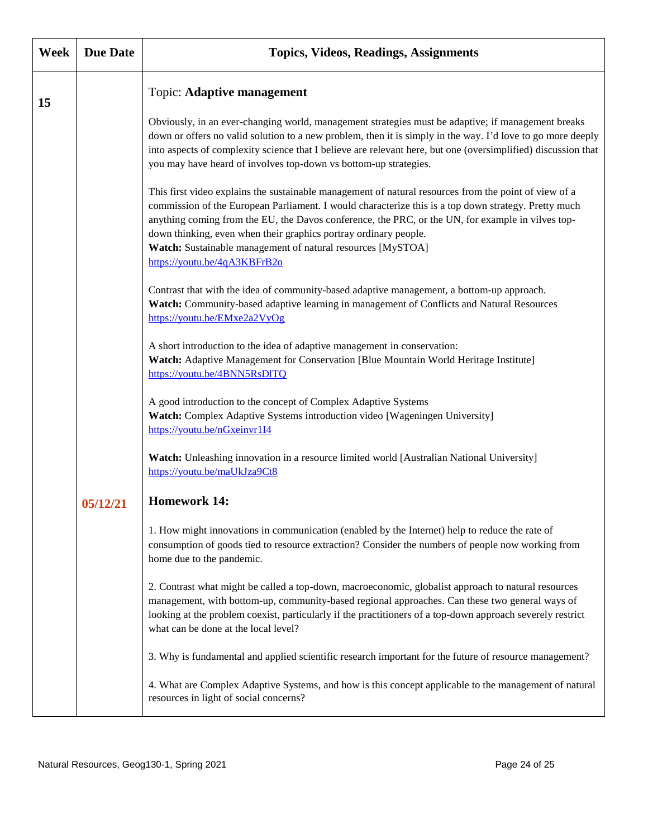| <b>Week</b> | <b>Due Date</b> | Topics, Videos, Readings, Assignments                                                                                                                                                                                                                                                                                                                                                                                                                                                 |
|-------------|-----------------|---------------------------------------------------------------------------------------------------------------------------------------------------------------------------------------------------------------------------------------------------------------------------------------------------------------------------------------------------------------------------------------------------------------------------------------------------------------------------------------|
| 15          |                 | Topic: Adaptive management                                                                                                                                                                                                                                                                                                                                                                                                                                                            |
|             |                 | Obviously, in an ever-changing world, management strategies must be adaptive; if management breaks<br>down or offers no valid solution to a new problem, then it is simply in the way. I'd love to go more deeply<br>into aspects of complexity science that I believe are relevant here, but one (oversimplified) discussion that<br>you may have heard of involves top-down vs bottom-up strategies.                                                                                |
|             |                 | This first video explains the sustainable management of natural resources from the point of view of a<br>commission of the European Parliament. I would characterize this is a top down strategy. Pretty much<br>anything coming from the EU, the Davos conference, the PRC, or the UN, for example in vilves top-<br>down thinking, even when their graphics portray ordinary people.<br>Watch: Sustainable management of natural resources [MySTOA]<br>https://youtu.be/4qA3KBFrB2o |
|             |                 | Contrast that with the idea of community-based adaptive management, a bottom-up approach.<br>Watch: Community-based adaptive learning in management of Conflicts and Natural Resources<br>https://youtu.be/EMxe2a2VyOg                                                                                                                                                                                                                                                                |
|             |                 | A short introduction to the idea of adaptive management in conservation:<br>Watch: Adaptive Management for Conservation [Blue Mountain World Heritage Institute]<br>https://youtu.be/4BNN5RsDITQ                                                                                                                                                                                                                                                                                      |
|             |                 | A good introduction to the concept of Complex Adaptive Systems<br>Watch: Complex Adaptive Systems introduction video [Wageningen University]<br>https://youtu.be/nGxeinvr1I4                                                                                                                                                                                                                                                                                                          |
|             |                 | Watch: Unleashing innovation in a resource limited world [Australian National University]<br>https://youtu.be/maUkJza9Ct8                                                                                                                                                                                                                                                                                                                                                             |
|             | 05/12/21        | <b>Homework 14:</b>                                                                                                                                                                                                                                                                                                                                                                                                                                                                   |
|             |                 | 1. How might innovations in communication (enabled by the Internet) help to reduce the rate of<br>consumption of goods tied to resource extraction? Consider the numbers of people now working from<br>home due to the pandemic.                                                                                                                                                                                                                                                      |
|             |                 | 2. Contrast what might be called a top-down, macroeconomic, globalist approach to natural resources<br>management, with bottom-up, community-based regional approaches. Can these two general ways of<br>looking at the problem coexist, particularly if the practitioners of a top-down approach severely restrict<br>what can be done at the local level?                                                                                                                           |
|             |                 | 3. Why is fundamental and applied scientific research important for the future of resource management?                                                                                                                                                                                                                                                                                                                                                                                |
|             |                 | 4. What are Complex Adaptive Systems, and how is this concept applicable to the management of natural<br>resources in light of social concerns?                                                                                                                                                                                                                                                                                                                                       |